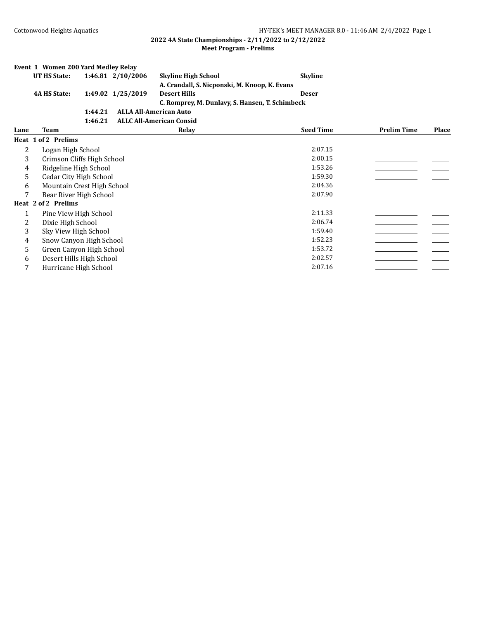|      | Event 1 Women 200 Yard Medley Relay   |         |                   |                                                 |                  |                    |       |  |  |
|------|---------------------------------------|---------|-------------------|-------------------------------------------------|------------------|--------------------|-------|--|--|
|      | <b>UT HS State:</b>                   |         | 1:46.81 2/10/2006 | <b>Skyline High School</b>                      | <b>Skyline</b>   |                    |       |  |  |
|      |                                       |         |                   | A. Crandall, S. Nicponski, M. Knoop, K. Evans   |                  |                    |       |  |  |
|      | <b>4A HS State:</b>                   |         | 1:49.02 1/25/2019 | <b>Desert Hills</b>                             | <b>Deser</b>     |                    |       |  |  |
|      |                                       |         |                   | C. Romprey, M. Dunlavy, S. Hansen, T. Schimbeck |                  |                    |       |  |  |
|      |                                       | 1:44.21 |                   | <b>ALLA All-American Auto</b>                   |                  |                    |       |  |  |
|      |                                       | 1:46.21 |                   | <b>ALLC All-American Consid</b>                 |                  |                    |       |  |  |
| Lane | Team                                  |         |                   | Relay                                           | <b>Seed Time</b> | <b>Prelim Time</b> | Place |  |  |
|      | Heat 1 of 2 Prelims                   |         |                   |                                                 |                  |                    |       |  |  |
| 2    | Logan High School                     |         |                   |                                                 | 2:07.15          |                    |       |  |  |
| 3    | 2:00.15<br>Crimson Cliffs High School |         |                   |                                                 |                  |                    |       |  |  |
| 4    | Ridgeline High School                 |         |                   |                                                 | 1:53.26          |                    |       |  |  |
| 5    | Cedar City High School                |         |                   |                                                 | 1:59.30          |                    |       |  |  |
| 6    | Mountain Crest High School            |         |                   |                                                 | 2:04.36          |                    |       |  |  |
| 7    | Bear River High School                |         |                   |                                                 | 2:07.90          |                    |       |  |  |
|      | Heat 2 of 2 Prelims                   |         |                   |                                                 |                  |                    |       |  |  |
| 1    | Pine View High School                 |         |                   |                                                 | 2:11.33          |                    |       |  |  |
| 2    | Dixie High School                     |         |                   |                                                 | 2:06.74          |                    |       |  |  |
| 3    | Sky View High School                  |         |                   |                                                 | 1:59.40          |                    |       |  |  |
| 4    | Snow Canyon High School               |         |                   |                                                 | 1:52.23          |                    |       |  |  |
| 5    | Green Canyon High School              |         |                   |                                                 | 1:53.72          |                    |       |  |  |
| 6    | Desert Hills High School              |         |                   |                                                 | 2:02.57          |                    |       |  |  |
| 7    | Hurricane High School                 |         |                   |                                                 | 2:07.16          |                    |       |  |  |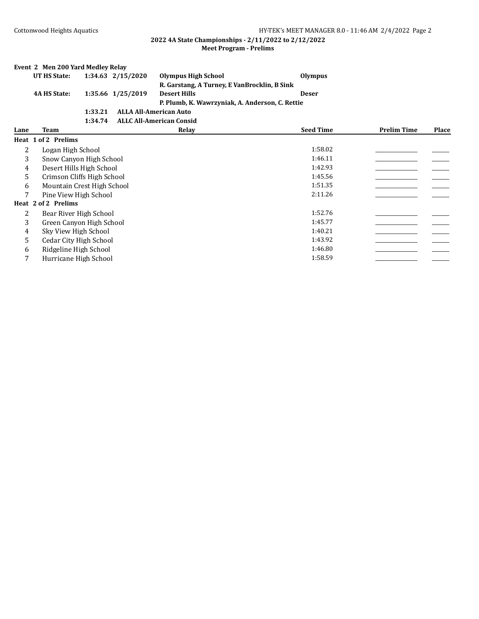|      |                       | Event 2 Men 200 Yard Medley Relay |                                                 |                  |                    |              |
|------|-----------------------|-----------------------------------|-------------------------------------------------|------------------|--------------------|--------------|
|      | UT HS State:          | 1:34.63 2/15/2020                 | <b>Olympus High School</b>                      | <b>Olympus</b>   |                    |              |
|      |                       |                                   | R. Garstang, A Turney, E VanBrocklin, B Sink    |                  |                    |              |
|      | <b>4A HS State:</b>   | 1:35.66 1/25/2019                 | <b>Desert Hills</b>                             | <b>Deser</b>     |                    |              |
|      |                       |                                   | P. Plumb, K. Wawrzyniak, A. Anderson, C. Rettie |                  |                    |              |
|      |                       | 1:33.21                           | <b>ALLA All-American Auto</b>                   |                  |                    |              |
|      |                       | 1:34.74                           | <b>ALLC All-American Consid</b>                 |                  |                    |              |
| Lane | Team                  |                                   | Relay                                           | <b>Seed Time</b> | <b>Prelim Time</b> | <b>Place</b> |
|      | Heat 1 of 2 Prelims   |                                   |                                                 |                  |                    |              |
| 2    | Logan High School     |                                   |                                                 | 1:58.02          |                    |              |
| 3    |                       | Snow Canyon High School           |                                                 | 1:46.11          |                    |              |
| 4    |                       | Desert Hills High School          |                                                 | 1:42.93          |                    |              |
| 5    |                       | Crimson Cliffs High School        |                                                 | 1:45.56          |                    |              |
| 6    |                       | Mountain Crest High School        |                                                 | 1:51.35          |                    |              |
| 7    |                       | Pine View High School             |                                                 | 2:11.26          |                    |              |
|      | Heat 2 of 2 Prelims   |                                   |                                                 |                  |                    |              |
| 2    |                       | Bear River High School            |                                                 | 1:52.76          |                    |              |
| 3    |                       | Green Canyon High School          |                                                 | 1:45.77          |                    |              |
| 4    | Sky View High School  |                                   |                                                 | 1:40.21          |                    |              |
| 5    |                       | Cedar City High School            |                                                 | 1:43.92          |                    |              |
| 6    | Ridgeline High School |                                   |                                                 | 1:46.80          |                    |              |
| 7    |                       | Hurricane High School             |                                                 | 1:58.59          |                    |              |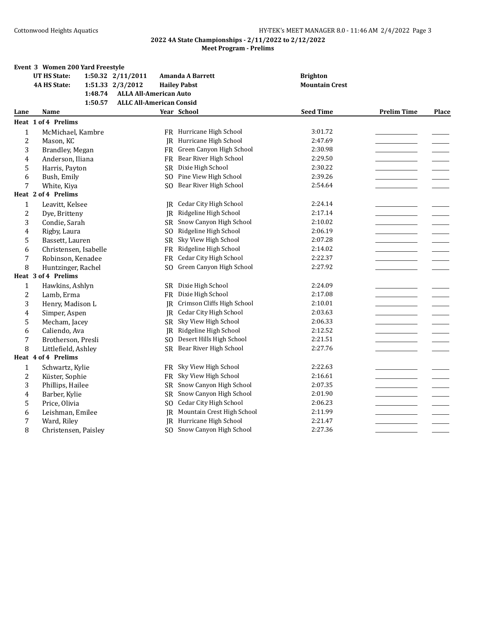|                | Event 3 Women 200 Yard Freestyle |         |                                 |                |                               |                       |                    |              |
|----------------|----------------------------------|---------|---------------------------------|----------------|-------------------------------|-----------------------|--------------------|--------------|
|                | <b>UT HS State:</b>              |         | 1:50.32 2/11/2011               |                | Amanda A Barrett              | <b>Brighton</b>       |                    |              |
|                | <b>4A HS State:</b>              |         | 1:51.33 2/3/2012                |                | <b>Hailey Pabst</b>           | <b>Mountain Crest</b> |                    |              |
|                |                                  | 1:48.74 | <b>ALLA All-American Auto</b>   |                |                               |                       |                    |              |
|                |                                  | 1:50.57 | <b>ALLC All-American Consid</b> |                |                               |                       |                    |              |
| Lane           | Name                             |         |                                 |                | Year School                   | <b>Seed Time</b>      | <b>Prelim Time</b> | <b>Place</b> |
|                | <b>Heat 1 of 4 Prelims</b>       |         |                                 |                |                               |                       |                    |              |
| $\mathbf{1}$   | McMichael, Kambre                |         |                                 |                | FR Hurricane High School      | 3:01.72               |                    |              |
| 2              | Mason, KC                        |         |                                 | IR.            | Hurricane High School         | 2:47.69               |                    |              |
| 3              | Brandley, Megan                  |         |                                 | FR             | Green Canyon High School      | 2:30.98               |                    |              |
| 4              | Anderson, Iliana                 |         |                                 | FR             | Bear River High School        | 2:29.50               |                    |              |
| 5              | Harris, Payton                   |         |                                 | SR.            | Dixie High School             | 2:30.22               |                    |              |
| 6              | Bush, Emily                      |         |                                 | SO.            | Pine View High School         | 2:39.26               |                    |              |
| 7              | White, Kiya                      |         |                                 | S <sub>O</sub> | Bear River High School        | 2:54.64               |                    |              |
|                | Heat 2 of 4 Prelims              |         |                                 |                |                               |                       |                    |              |
| $\mathbf{1}$   | Leavitt, Kelsee                  |         |                                 | IR             | Cedar City High School        | 2:24.14               |                    |              |
| 2              | Dye, Britteny                    |         |                                 | <b>IR</b>      | Ridgeline High School         | 2:17.14               |                    |              |
| 3              | Condie, Sarah                    |         |                                 | <b>SR</b>      | Snow Canyon High School       | 2:10.02               |                    |              |
| 4              | Rigby, Laura                     |         |                                 | SO.            | Ridgeline High School         | 2:06.19               |                    |              |
| 5              | Bassett, Lauren                  |         |                                 | <b>SR</b>      | Sky View High School          | 2:07.28               |                    |              |
| 6              | Christensen, Isabelle            |         |                                 | FR             | Ridgeline High School         | 2:14.02               |                    |              |
| 7              | Robinson, Kenadee                |         |                                 | FR             | <b>Cedar City High School</b> | 2:22.37               |                    |              |
| 8              | Huntzinger, Rachel               |         |                                 | S <sub>O</sub> | Green Canyon High School      | 2:27.92               |                    |              |
|                | Heat 3 of 4 Prelims              |         |                                 |                |                               |                       |                    |              |
| $\mathbf{1}$   | Hawkins, Ashlyn                  |         |                                 | SR.            | Dixie High School             | 2:24.09               |                    |              |
| $\overline{c}$ | Lamb, Erma                       |         |                                 | FR             | Dixie High School             | 2:17.08               |                    |              |
| 3              | Henry, Madison L                 |         |                                 | IR             | Crimson Cliffs High School    | 2:10.01               |                    |              |
| 4              | Simper, Aspen                    |         |                                 |                | JR Cedar City High School     | 2:03.63               |                    |              |
| 5              | Mecham, Jacey                    |         |                                 | <b>SR</b>      | Sky View High School          | 2:06.33               |                    |              |
| 6              | Caliendo, Ava                    |         |                                 | JR             | Ridgeline High School         | 2:12.52               |                    |              |
| 7              | Brotherson, Presli               |         |                                 | S <sub>O</sub> | Desert Hills High School      | 2:21.51               |                    |              |
| 8              | Littlefield, Ashley              |         |                                 | SR.            | Bear River High School        | 2:27.76               |                    |              |
|                | Heat 4 of 4 Prelims              |         |                                 |                |                               |                       |                    |              |
| $\mathbf{1}$   | Schwartz, Kylie                  |         |                                 |                | FR Sky View High School       | 2:22.63               |                    |              |
| 2              | Küster, Sophie                   |         |                                 | FR             | Sky View High School          | 2:16.61               |                    |              |
| 3              | Phillips, Hailee                 |         |                                 | <b>SR</b>      | Snow Canyon High School       | 2:07.35               |                    |              |
| 4              | Barber, Kylie                    |         |                                 | <b>SR</b>      | Snow Canyon High School       | 2:01.90               |                    |              |
| 5              | Price, Olivia                    |         |                                 | S <sub>O</sub> | Cedar City High School        | 2:06.23               |                    |              |
| 6              | Leishman, Emilee                 |         |                                 | IR             | Mountain Crest High School    | 2:11.99               |                    |              |
| 7              | Ward, Riley                      |         |                                 | IR.            | Hurricane High School         | 2:21.47               |                    |              |
| 8              | Christensen, Paisley             |         |                                 |                | SO Snow Canyon High School    | 2:27.36               |                    |              |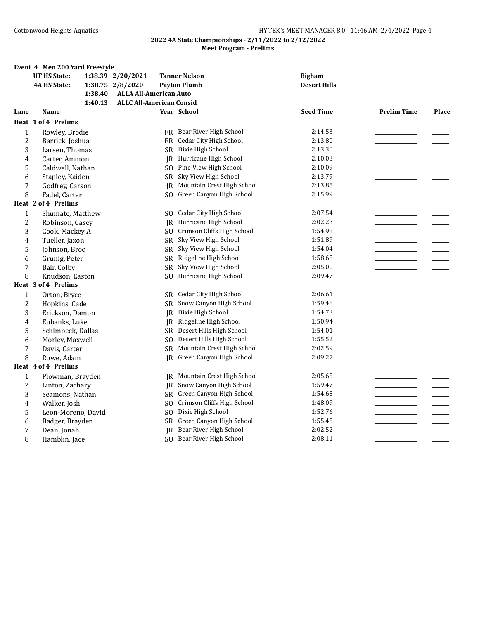|                | Event 4 Men 200 Yard Freestyle |                                 |                               |                     |                    |       |
|----------------|--------------------------------|---------------------------------|-------------------------------|---------------------|--------------------|-------|
|                | <b>UT HS State:</b>            | 1:38.39 2/20/2021               | <b>Tanner Nelson</b>          | <b>Bigham</b>       |                    |       |
|                | <b>4A HS State:</b>            | 1:38.75 2/8/2020                | <b>Payton Plumb</b>           | <b>Desert Hills</b> |                    |       |
|                | 1:38.40                        | <b>ALLA All-American Auto</b>   |                               |                     |                    |       |
|                | 1:40.13                        | <b>ALLC All-American Consid</b> |                               |                     |                    |       |
| Lane           | Name                           |                                 | Year School                   | <b>Seed Time</b>    | <b>Prelim Time</b> | Place |
|                | Heat 1 of 4 Prelims            |                                 |                               |                     |                    |       |
| $\mathbf{1}$   | Rowley, Brodie                 |                                 | FR Bear River High School     | 2:14.53             |                    |       |
| $\overline{c}$ | Barrick, Joshua                | <b>FR</b>                       | <b>Cedar City High School</b> | 2:13.80             |                    |       |
| 3              | Larsen, Thomas                 | SR                              | Dixie High School             | 2:13.30             |                    |       |
| 4              | Carter, Ammon                  | IR                              | Hurricane High School         | 2:10.03             |                    |       |
| 5              | Caldwell, Nathan               | SO.                             | Pine View High School         | 2:10.09             |                    |       |
| 6              | Stapley, Kaiden                |                                 | SR Sky View High School       | 2:13.79             |                    |       |
| 7              | Godfrey, Carson                | IR                              | Mountain Crest High School    | 2:13.85             |                    |       |
| 8              | Fadel, Carter                  | SO.                             | Green Canyon High School      | 2:15.99             |                    |       |
|                | Heat 2 of 4 Prelims            |                                 |                               |                     |                    |       |
| $\mathbf{1}$   | Shumate, Matthew               | SO.                             | <b>Cedar City High School</b> | 2:07.54             |                    |       |
| $\overline{c}$ | Robinson, Casey                | IR                              | Hurricane High School         | 2:02.23             |                    |       |
| 3              | Cook, Mackey A                 | SO.                             | Crimson Cliffs High School    | 1:54.95             |                    |       |
| 4              | Tueller, Jaxon                 | SR                              | Sky View High School          | 1:51.89             |                    |       |
| 5              | Johnson, Broc                  | SR                              | Sky View High School          | 1:54.04             |                    |       |
| 6              | Grunig, Peter                  |                                 | SR Ridgeline High School      | 1:58.68             |                    |       |
| 7              | Bair, Colby                    | <b>SR</b>                       | Sky View High School          | 2:05.00             |                    |       |
| 8              | Knudson, Easton                | SO.                             | Hurricane High School         | 2:09.47             |                    |       |
|                | Heat 3 of 4 Prelims            |                                 |                               |                     |                    |       |
| $\mathbf{1}$   | Orton, Bryce                   |                                 | SR Cedar City High School     | 2:06.61             |                    |       |
| $\overline{c}$ | Hopkins, Cade                  | SR                              | Snow Canyon High School       | 1:59.48             |                    |       |
| 3              | Erickson, Damon                | IR.                             | Dixie High School             | 1:54.73             |                    |       |
| 4              | Eubanks, Luke                  | IR                              | Ridgeline High School         | 1:50.94             |                    |       |
| 5              | Schimbeck, Dallas              |                                 | SR Desert Hills High School   | 1:54.01             |                    |       |
| 6              | Morley, Maxwell                | SO.                             | Desert Hills High School      | 1:55.52             |                    |       |
| 7              | Davis, Carter                  | SR                              | Mountain Crest High School    | 2:02.59             |                    |       |
| 8              | Rowe, Adam                     |                                 | JR Green Canyon High School   | 2:09.27             |                    |       |
|                | Heat 4 of 4 Prelims            |                                 |                               |                     |                    |       |
| $\mathbf{1}$   | Plowman, Brayden               | IR                              | Mountain Crest High School    | 2:05.65             |                    |       |
| 2              | Linton, Zachary                | IR                              | Snow Canyon High School       | 1:59.47             |                    |       |
| 3              | Seamons, Nathan                | <b>SR</b>                       | Green Canyon High School      | 1:54.68             |                    |       |
| 4              | Walker, Josh                   | SO.                             | Crimson Cliffs High School    | 1:48.09             |                    |       |
| 5              | Leon-Moreno, David             | SO.                             | Dixie High School             | 1:52.76             |                    |       |
| 6              | Badger, Brayden                | SR                              | Green Canyon High School      | 1:55.45             |                    |       |
| 7              | Dean, Jonah                    | IR.                             | Bear River High School        | 2:02.52             |                    |       |
| 8              | Hamblin, Jace                  | SO.                             | Bear River High School        | 2:08.11             |                    |       |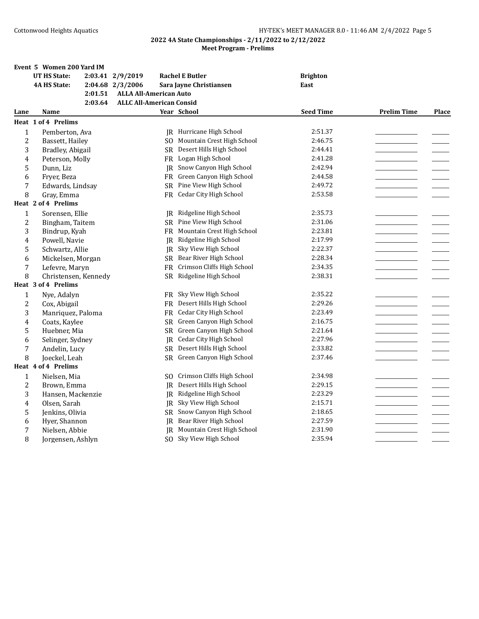|                  | Event 5 Women 200 Yard IM  |                                 |                               |                  |                    |              |
|------------------|----------------------------|---------------------------------|-------------------------------|------------------|--------------------|--------------|
|                  | <b>UT HS State:</b>        | 2:03.41 2/9/2019                | <b>Rachel E Butler</b>        | <b>Brighton</b>  |                    |              |
|                  | <b>4A HS State:</b>        | 2:04.68 2/3/2006                | Sara Jayne Christiansen       | East             |                    |              |
|                  | 2:01.51                    | <b>ALLA All-American Auto</b>   |                               |                  |                    |              |
|                  | 2:03.64                    | <b>ALLC All-American Consid</b> |                               |                  |                    |              |
| Lane             | Name                       |                                 | Year School                   | <b>Seed Time</b> | <b>Prelim Time</b> | <b>Place</b> |
|                  | <b>Heat 1 of 4 Prelims</b> |                                 |                               |                  |                    |              |
| $\mathbf{1}$     | Pemberton, Ava             |                                 | JR Hurricane High School      | 2:51.37          |                    |              |
| $\overline{c}$   | Bassett, Hailey            | SO.                             | Mountain Crest High School    | 2:46.75          |                    |              |
| 3                | Bradley, Abigail           |                                 | SR Desert Hills High School   | 2:44.41          |                    |              |
| 4                | Peterson, Molly            |                                 | FR Logan High School          | 2:41.28          |                    |              |
| 5                | Dunn, Liz                  | IR                              | Snow Canyon High School       | 2:42.94          |                    |              |
| 6                | Fryer, Beza                | FR                              | Green Canyon High School      | 2:44.58          |                    |              |
| 7                | Edwards, Lindsay           |                                 | SR Pine View High School      | 2:49.72          |                    |              |
| 8                | Gray, Emma                 | <b>FR</b>                       | Cedar City High School        | 2:53.58          |                    |              |
|                  | Heat 2 of 4 Prelims        |                                 |                               |                  |                    |              |
| $\mathbf{1}$     | Sorensen, Ellie            | IR                              | Ridgeline High School         | 2:35.73          |                    |              |
| 2                | Bingham, Taitem            | <b>SR</b>                       | Pine View High School         | 2:31.06          |                    |              |
| 3                | Bindrup, Kyah              | FR                              | Mountain Crest High School    | 2:23.81          |                    |              |
| 4                | Powell, Navie              | IR                              | Ridgeline High School         | 2:17.99          |                    |              |
| 5                | Schwartz, Allie            | IR                              | Sky View High School          | 2:22.37          |                    |              |
| 6                | Mickelsen, Morgan          | <b>SR</b>                       | Bear River High School        | 2:28.34          |                    |              |
| $\boldsymbol{7}$ | Lefevre, Maryn             | <b>FR</b>                       | Crimson Cliffs High School    | 2:34.35          |                    |              |
| 8                | Christensen, Kennedy       | <b>SR</b>                       | Ridgeline High School         | 2:38.31          |                    |              |
|                  | Heat 3 of 4 Prelims        |                                 |                               |                  |                    |              |
| $\mathbf{1}$     | Nye, Adalyn                |                                 | FR Sky View High School       | 2:35.22          |                    |              |
| $\overline{c}$   | Cox, Abigail               | FR                              | Desert Hills High School      | 2:29.26          |                    |              |
| 3                | Manriquez, Paloma          | FR                              | <b>Cedar City High School</b> | 2:23.49          |                    |              |
| 4                | Coats, Kaylee              | <b>SR</b>                       | Green Canyon High School      | 2:16.75          |                    |              |
| 5                | Huebner, Mia               |                                 | SR Green Canyon High School   | 2:21.64          |                    |              |
| 6                | Selinger, Sydney           | JR                              | <b>Cedar City High School</b> | 2:27.96          |                    |              |
| $\boldsymbol{7}$ | Andelin, Lucy              | SR.                             | Desert Hills High School      | 2:33.82          |                    |              |
| 8                | Joeckel, Leah              |                                 | SR Green Canyon High School   | 2:37.46          |                    |              |
|                  | Heat 4 of 4 Prelims        |                                 |                               |                  |                    |              |
| $\mathbf{1}$     | Nielsen, Mia               | SO.                             | Crimson Cliffs High School    | 2:34.98          |                    |              |
| $\overline{2}$   | Brown, Emma                | <b>JR</b>                       | Desert Hills High School      | 2:29.15          |                    |              |
| 3                | Hansen, Mackenzie          | IR                              | Ridgeline High School         | 2:23.29          |                    |              |
| 4                | Olsen, Sarah               | IR                              | Sky View High School          | 2:15.71          |                    |              |
| 5                | Jenkins, Olivia            |                                 | SR Snow Canyon High School    | 2:18.65          |                    |              |
| 6                | Hyer, Shannon              | IR                              | Bear River High School        | 2:27.59          |                    |              |
| 7                | Nielsen, Abbie             | <b>IR</b>                       | Mountain Crest High School    | 2:31.90          |                    |              |
| 8                | Jorgensen, Ashlyn          | SO.                             | Sky View High School          | 2:35.94          |                    |              |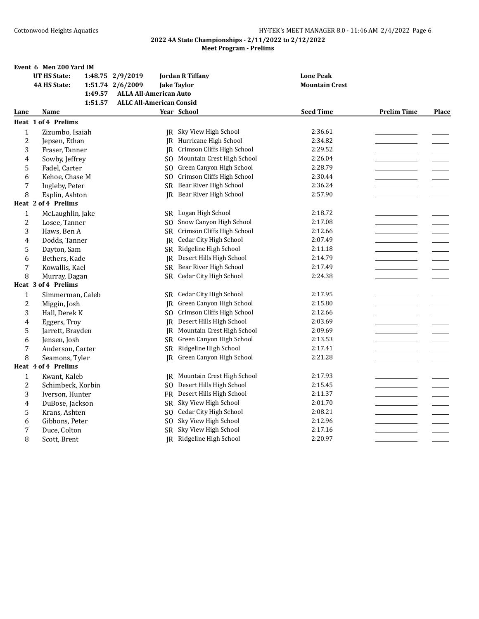|                | Event 6 Men 200 Yard IM |                                 |                                    |                       |                    |              |
|----------------|-------------------------|---------------------------------|------------------------------------|-----------------------|--------------------|--------------|
|                | <b>UT HS State:</b>     | 1:48.75 2/9/2019                | <b>Jordan R Tiffany</b>            | <b>Lone Peak</b>      |                    |              |
|                | <b>4A HS State:</b>     | 1:51.74 2/6/2009                | <b>Jake Taylor</b>                 | <b>Mountain Crest</b> |                    |              |
|                | 1:49.57                 | <b>ALLA All-American Auto</b>   |                                    |                       |                    |              |
|                | 1:51.57                 | <b>ALLC All-American Consid</b> |                                    |                       |                    |              |
| Lane           | Name                    |                                 | Year School                        | <b>Seed Time</b>      | <b>Prelim Time</b> | <b>Place</b> |
|                | Heat 1 of 4 Prelims     |                                 |                                    |                       |                    |              |
| 1              | Zizumbo, Isaiah         |                                 | JR Sky View High School            | 2:36.61               |                    |              |
| $\overline{c}$ | Jepsen, Ethan           |                                 | IR Hurricane High School           | 2:34.82               |                    |              |
| 3              | Fraser, Tanner          | IR                              | Crimson Cliffs High School         | 2:29.52               |                    |              |
| 4              | Sowby, Jeffrey          | SO.                             | Mountain Crest High School         | 2:26.04               |                    |              |
| 5              | Fadel, Carter           | SO.                             | Green Canyon High School           | 2:28.79               |                    |              |
| 6              | Kehoe, Chase M          | SO.                             | Crimson Cliffs High School         | 2:30.44               |                    |              |
| 7              | Ingleby, Peter          | SR                              | Bear River High School             | 2:36.24               |                    |              |
| 8              | Esplin, Ashton          | IR.                             | Bear River High School             | 2:57.90               |                    |              |
|                | Heat 2 of 4 Prelims     |                                 |                                    |                       |                    |              |
| $\mathbf{1}$   | McLaughlin, Jake        | SR                              | Logan High School                  | 2:18.72               |                    |              |
| 2              | Losee, Tanner           | SO.                             | Snow Canyon High School            | 2:17.08               |                    |              |
| 3              | Haws, Ben A             | SR                              | Crimson Cliffs High School         | 2:12.66               |                    |              |
| 4              | Dodds, Tanner           | IR.                             | Cedar City High School             | 2:07.49               |                    |              |
| 5              | Dayton, Sam             | SR                              | Ridgeline High School              | 2:11.18               |                    |              |
| 6              | Bethers, Kade           | IR                              | Desert Hills High School           | 2:14.79               |                    |              |
| 7              | Kowallis, Kael          | SR                              | Bear River High School             | 2:17.49               |                    |              |
| 8              | Murray, Dagan           |                                 | SR Cedar City High School          | 2:24.38               |                    |              |
|                | Heat 3 of 4 Prelims     |                                 |                                    |                       |                    |              |
| 1              | Simmerman, Caleb        |                                 | SR Cedar City High School          | 2:17.95               |                    |              |
| $\overline{c}$ | Miggin, Josh            |                                 | <b>IR</b> Green Canyon High School | 2:15.80               |                    |              |
| 3              | Hall, Derek K           | SO.                             | Crimson Cliffs High School         | 2:12.66               |                    |              |
| 4              | Eggers, Troy            | IR.                             | Desert Hills High School           | 2:03.69               |                    |              |
| 5              | Jarrett, Brayden        | IR                              | Mountain Crest High School         | 2:09.69               |                    |              |
| 6              | Jensen, Josh            |                                 | SR Green Canyon High School        | 2:13.53               |                    |              |
| 7              | Anderson, Carter        | SR                              | Ridgeline High School              | 2:17.41               |                    |              |
| 8              | Seamons, Tyler          |                                 | JR Green Canyon High School        | 2:21.28               |                    |              |
|                | Heat 4 of 4 Prelims     |                                 |                                    |                       |                    |              |
| $\mathbf{1}$   | Kwant, Kaleb            | IR                              | Mountain Crest High School         | 2:17.93               |                    |              |
| 2              | Schimbeck, Korbin       | SO.                             | Desert Hills High School           | 2:15.45               |                    |              |
| 3              | Iverson, Hunter         | <b>FR</b>                       | Desert Hills High School           | 2:11.37               |                    |              |
| 4              | DuBose, Jackson         | SR.                             | Sky View High School               | 2:01.70               |                    |              |
| 5              | Krans, Ashten           | SO.                             | Cedar City High School             | 2:08.21               |                    |              |
| 6              | Gibbons, Peter          | SO.                             | Sky View High School               | 2:12.96               |                    |              |
| 7              | Duce, Colton            |                                 | SR Sky View High School            | 2:17.16               |                    |              |
| 8              | Scott, Brent            |                                 | JR Ridgeline High School           | 2:20.97               |                    |              |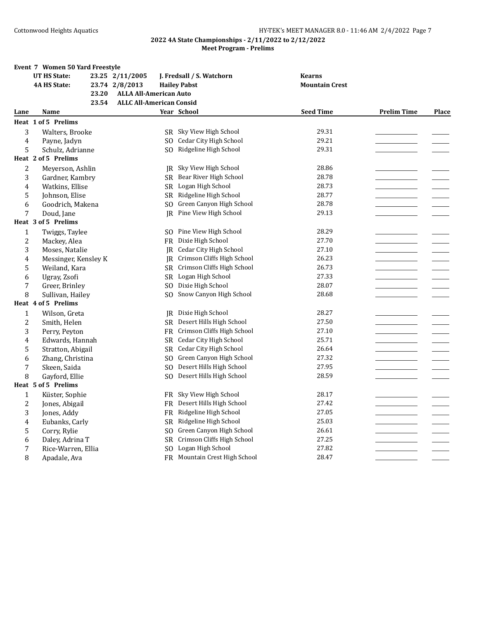|                | Event 7 Women 50 Yard Freestyle |                                 |                               |                       |                    |              |
|----------------|---------------------------------|---------------------------------|-------------------------------|-----------------------|--------------------|--------------|
|                | <b>UT HS State:</b>             | 23.25 2/11/2005                 | J. Fredsall / S. Watchorn     | <b>Kearns</b>         |                    |              |
|                | <b>4A HS State:</b>             | 23.74 2/8/2013                  | <b>Hailey Pabst</b>           | <b>Mountain Crest</b> |                    |              |
|                | 23.20                           | <b>ALLA All-American Auto</b>   |                               |                       |                    |              |
|                | 23.54                           | <b>ALLC All-American Consid</b> |                               |                       |                    |              |
| Lane           | Name                            |                                 | Year School                   | <b>Seed Time</b>      | <b>Prelim Time</b> | <b>Place</b> |
|                | Heat 1 of 5 Prelims             |                                 |                               |                       |                    |              |
| 3              | Walters, Brooke                 |                                 | SR Sky View High School       | 29.31                 |                    |              |
| $\pmb{4}$      | Payne, Jadyn                    | SO.                             | <b>Cedar City High School</b> | 29.21                 |                    |              |
| 5              | Schulz, Adrianne                |                                 | SO Ridgeline High School      | 29.31                 |                    |              |
|                | Heat 2 of 5 Prelims             |                                 |                               |                       |                    |              |
| $\overline{c}$ | Meyerson, Ashlin                | IR                              | Sky View High School          | 28.86                 |                    |              |
| 3              | Gardner, Kambry                 | <b>SR</b>                       | Bear River High School        | 28.78                 |                    |              |
| 4              | Watkins, Ellise                 | SR.                             | Logan High School             | 28.73                 |                    |              |
| 5              | Johnson, Elise                  | <b>SR</b>                       | Ridgeline High School         | 28.77                 |                    |              |
| 6              | Goodrich, Makena                | SO.                             | Green Canyon High School      | 28.78                 |                    |              |
| 7              | Doud, Jane                      | IR.                             | Pine View High School         | 29.13                 |                    |              |
|                | Heat 3 of 5 Prelims             |                                 |                               |                       |                    |              |
| $\mathbf{1}$   | Twiggs, Taylee                  | SO.                             | Pine View High School         | 28.29                 |                    |              |
| $\overline{c}$ | Mackey, Alea                    |                                 | FR Dixie High School          | 27.70                 |                    |              |
| 3              | Moses, Natalie                  | IR                              | <b>Cedar City High School</b> | 27.10                 |                    |              |
| 4              | Messinger, Kensley K            | IR                              | Crimson Cliffs High School    | 26.23                 |                    |              |
| 5              | Weiland, Kara                   |                                 | SR Crimson Cliffs High School | 26.73                 |                    |              |
| 6              | Ugray, Zsofi                    | SR.                             | Logan High School             | 27.33                 |                    |              |
| 7              | Greer, Brinley                  | S <sub>0</sub>                  | Dixie High School             | 28.07                 |                    |              |
| 8              | Sullivan, Hailev                | S <sub>O</sub>                  | Snow Canyon High School       | 28.68                 |                    |              |
|                | Heat 4 of 5 Prelims             |                                 |                               |                       |                    |              |
| $\mathbf{1}$   | Wilson, Greta                   | <b>IR</b>                       | Dixie High School             | 28.27                 |                    |              |
| 2              | Smith, Helen                    | <b>SR</b>                       | Desert Hills High School      | 27.50                 |                    |              |
| 3              | Perry, Peyton                   |                                 | FR Crimson Cliffs High School | 27.10                 |                    |              |
| 4              | Edwards, Hannah                 | SR                              | Cedar City High School        | 25.71                 |                    |              |
| 5              | Stratton, Abigail               | <b>SR</b>                       | <b>Cedar City High School</b> | 26.64                 |                    |              |
| 6              | Zhang, Christina                |                                 | SO Green Canyon High School   | 27.32                 |                    |              |
| 7              | Skeen, Saida                    | S <sub>O</sub>                  | Desert Hills High School      | 27.95                 |                    |              |
| 8              | Gayford, Ellie                  | S <sub>O</sub>                  | Desert Hills High School      | 28.59                 |                    |              |
|                | Heat 5 of 5 Prelims             |                                 |                               |                       |                    |              |
| $\mathbf{1}$   | Küster, Sophie                  | FR -                            | Sky View High School          | 28.17                 |                    |              |
| $\overline{c}$ | Jones, Abigail                  | <b>FR</b>                       | Desert Hills High School      | 27.42                 |                    |              |
| 3              | Jones, Addy                     | FR                              | Ridgeline High School         | 27.05                 |                    |              |
| 4              | Eubanks, Carly                  | <b>SR</b>                       | Ridgeline High School         | 25.03                 |                    |              |
| 5              | Corry, Rylie                    | S <sub>O</sub>                  | Green Canyon High School      | 26.61                 |                    |              |
| 6              | Daley, Adrina T                 | <b>SR</b>                       | Crimson Cliffs High School    | 27.25                 |                    |              |
| 7              | Rice-Warren, Ellia              |                                 | SO Logan High School          | 27.82                 |                    |              |
| 8              | Apadale, Ava                    |                                 | FR Mountain Crest High School | 28.47                 |                    |              |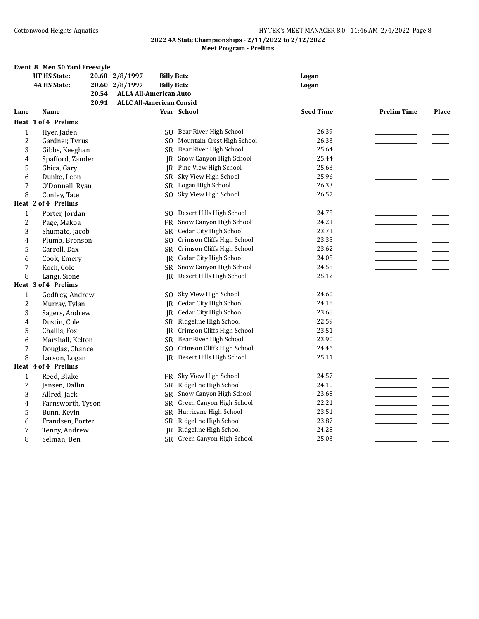# **Event 8 Men 50 Yard Freestyle**

|                | <b>UT HS State:</b> |       | 20.60 2/8/1997                  | <b>Billy Betz</b> |                               | Logan            |                    |              |
|----------------|---------------------|-------|---------------------------------|-------------------|-------------------------------|------------------|--------------------|--------------|
|                | <b>4A HS State:</b> |       | 20.60 2/8/1997                  | <b>Billy Betz</b> |                               | Logan            |                    |              |
|                |                     | 20.54 | <b>ALLA All-American Auto</b>   |                   |                               |                  |                    |              |
|                |                     | 20.91 | <b>ALLC All-American Consid</b> |                   |                               |                  |                    |              |
| Lane           | Name                |       |                                 |                   | Year School                   | <b>Seed Time</b> | <b>Prelim Time</b> | <b>Place</b> |
|                | Heat 1 of 4 Prelims |       |                                 |                   |                               |                  |                    |              |
| $\mathbf{1}$   | Hyer, Jaden         |       |                                 | SO.               | Bear River High School        | 26.39            |                    |              |
| $\overline{c}$ | Gardner, Tyrus      |       |                                 | SO.               | Mountain Crest High School    | 26.33            |                    |              |
| 3              | Gibbs, Keeghan      |       |                                 | SR                | Bear River High School        | 25.64            |                    |              |
| 4              | Spafford, Zander    |       |                                 |                   | JR Snow Canyon High School    | 25.44            |                    |              |
| 5              | Ghica, Gary         |       |                                 | IR                | Pine View High School         | 25.63            |                    |              |
| 6              | Dunke, Leon         |       |                                 | SR                | Sky View High School          | 25.96            |                    |              |
| 7              | O'Donnell, Ryan     |       |                                 |                   | SR Logan High School          | 26.33            |                    |              |
| 8              | Conley, Tate        |       |                                 | SO.               | Sky View High School          | 26.57            |                    |              |
|                | Heat 2 of 4 Prelims |       |                                 |                   |                               |                  |                    |              |
| $\mathbf{1}$   | Porter, Jordan      |       |                                 | SO.               | Desert Hills High School      | 24.75            |                    |              |
| $\overline{c}$ | Page, Makoa         |       |                                 | <b>FR</b>         | Snow Canyon High School       | 24.21            |                    |              |
| 3              | Shumate, Jacob      |       |                                 | SR                | <b>Cedar City High School</b> | 23.71            |                    |              |
| $\overline{4}$ | Plumb, Bronson      |       |                                 | SO.               | Crimson Cliffs High School    | 23.35            |                    |              |
| 5              | Carroll, Dax        |       |                                 | <b>SR</b>         | Crimson Cliffs High School    | 23.62            |                    |              |
| 6              | Cook, Emery         |       |                                 |                   | JR Cedar City High School     | 24.05            |                    |              |
| 7              | Koch, Cole          |       |                                 |                   | SR Snow Canyon High School    | 24.55            |                    |              |
| 8              | Langi, Sione        |       |                                 | IR.               | Desert Hills High School      | 25.12            |                    |              |
|                | Heat 3 of 4 Prelims |       |                                 |                   |                               |                  |                    |              |
| $\mathbf{1}$   | Godfrey, Andrew     |       |                                 | SO.               | Sky View High School          | 24.60            |                    |              |
| $\overline{c}$ | Murray, Tylan       |       |                                 | IR                | <b>Cedar City High School</b> | 24.18            |                    |              |
| 3              | Sagers, Andrew      |       |                                 |                   | JR Cedar City High School     | 23.68            |                    |              |
| 4              | Dustin, Cole        |       |                                 | <b>SR</b>         | Ridgeline High School         | 22.59            |                    |              |
| 5              | Challis, Fox        |       |                                 |                   | JR Crimson Cliffs High School | 23.51            |                    |              |
| 6              | Marshall, Kelton    |       |                                 |                   | SR Bear River High School     | 23.90            |                    |              |
| 7              | Douglas, Chance     |       |                                 | SO.               | Crimson Cliffs High School    | 24.46            |                    |              |
| 8              | Larson, Logan       |       |                                 | IR                | Desert Hills High School      | 25.11            |                    |              |
|                | Heat 4 of 4 Prelims |       |                                 |                   |                               |                  |                    |              |
| $\mathbf{1}$   | Reed, Blake         |       |                                 | <b>FR</b>         | Sky View High School          | 24.57            |                    |              |
| 2              | Jensen, Dallin      |       |                                 | SR                | Ridgeline High School         | 24.10            |                    |              |
| 3              | Allred, Jack        |       |                                 | <b>SR</b>         | Snow Canyon High School       | 23.68            |                    |              |
| 4              | Farnsworth, Tyson   |       |                                 | SR                | Green Canyon High School      | 22.21            |                    |              |
| 5              | Bunn, Kevin         |       |                                 |                   | SR Hurricane High School      | 23.51            |                    |              |
| 6              | Frandsen, Porter    |       |                                 | <b>SR</b>         | Ridgeline High School         | 23.87            |                    |              |
| 7              | Tenny, Andrew       |       |                                 | IR                | Ridgeline High School         | 24.28            |                    |              |
| 8              | Selman, Ben         |       |                                 |                   | SR Green Canyon High School   | 25.03            |                    |              |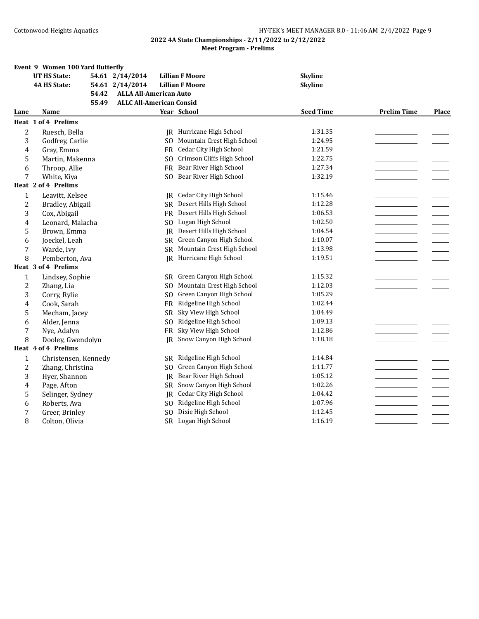| 54.61 2/14/2014<br><b>Lillian F Moore</b><br><b>4A HS State:</b><br>54.61 2/14/2014<br><b>Lillian F Moore</b><br><b>Skyline</b><br><b>ALLA All-American Auto</b><br>54.42<br>55.49<br><b>ALLC All-American Consid</b><br><b>Seed Time</b><br><b>Prelim Time</b><br>Year School<br>Lane<br>Name<br>Heat 1 of 4 Prelims<br>$\overline{c}$<br>Ruesch, Bella<br>JR Hurricane High School<br>1:31.35<br>SO Mountain Crest High School<br>3<br>1:24.95<br>Godfrey, Carlie<br>FR Cedar City High School<br>1:21.59<br>Gray, Emma<br>4<br>Crimson Cliffs High School<br>1:22.75<br>5<br>Martin, Makenna<br>S <sub>O</sub><br>Bear River High School<br>1:27.34<br>Throop, Allie<br>6<br><b>FR</b><br>Bear River High School<br>1:32.19<br>7<br>White, Kiya<br>SO.<br>Heat 2 of 4 Prelims<br><b>Cedar City High School</b><br>1:15.46<br>1<br>Leavitt, Kelsee<br>IR<br>$\overline{c}$<br>SR Desert Hills High School<br>1:12.28<br>Bradley, Abigail<br>FR Desert Hills High School<br>1:06.53<br>3<br>Cox, Abigail<br>Logan High School<br>1:02.50<br>Leonard, Malacha<br>4<br>SO.<br>5<br>Desert Hills High School<br>Brown, Emma<br>1:04.54<br>IR.<br>Green Canyon High School<br>1:10.07<br>6<br>Joeckel, Leah<br>SR<br>Mountain Crest High School<br>1:13.98<br>7<br>Warde, Ivy<br>SR<br>8<br>Pemberton, Ava<br><b>IR</b> Hurricane High School<br>1:19.51<br>Heat 3 of 4 Prelims<br>SR Green Canyon High School<br>1:15.32<br>1<br>Lindsey, Sophie<br>$\overline{c}$<br>Mountain Crest High School<br>1:12.03<br>Zhang, Lia<br>SO.<br>Green Canyon High School<br>3<br>1:05.29<br>Corry, Rylie<br>S <sub>O</sub><br>Ridgeline High School<br>1:02.44<br>Cook, Sarah<br>4<br>FR<br>5<br>Sky View High School<br>1:04.49<br>Mecham, Jacey<br>SR.<br>Ridgeline High School<br>1:09.13<br>Alder, Jenna<br>S <sub>O</sub><br>6<br>Sky View High School<br>7<br>1:12.86<br>Nye, Adalyn<br>FR<br>Snow Canyon High School<br>8<br>Dooley, Gwendolyn<br>1:18.18<br>IR<br>Heat 4 of 4 Prelims<br>Ridgeline High School<br>1:14.84<br>$\mathbf{1}$<br>Christensen, Kennedy<br>SR<br>Green Canyon High School<br>$\overline{c}$<br>1:11.77<br>Zhang, Christina<br>SO.<br>Bear River High School<br>1:05.12<br>3<br>Hyer, Shannon<br>IR<br>Snow Canyon High School<br>1:02.26<br>Page, Afton<br>4<br>SR<br><b>Cedar City High School</b><br>1:04.42<br>5<br>Selinger, Sydney<br>IR<br>Ridgeline High School<br>1:07.96<br>Roberts, Ava<br>SO.<br>6<br>Dixie High School<br>7<br>1:12.45<br>Greer, Brinley<br>SO. |   | Event 9 Women 100 Yard Butterfly |  |                      |                |              |
|-------------------------------------------------------------------------------------------------------------------------------------------------------------------------------------------------------------------------------------------------------------------------------------------------------------------------------------------------------------------------------------------------------------------------------------------------------------------------------------------------------------------------------------------------------------------------------------------------------------------------------------------------------------------------------------------------------------------------------------------------------------------------------------------------------------------------------------------------------------------------------------------------------------------------------------------------------------------------------------------------------------------------------------------------------------------------------------------------------------------------------------------------------------------------------------------------------------------------------------------------------------------------------------------------------------------------------------------------------------------------------------------------------------------------------------------------------------------------------------------------------------------------------------------------------------------------------------------------------------------------------------------------------------------------------------------------------------------------------------------------------------------------------------------------------------------------------------------------------------------------------------------------------------------------------------------------------------------------------------------------------------------------------------------------------------------------------------------------------------------------------------------------------------------------------------------------------------------------------------------------------------------------------------------------------------------------------------------------------------------------------------------------------------------------------------------------------------------------------------------------|---|----------------------------------|--|----------------------|----------------|--------------|
|                                                                                                                                                                                                                                                                                                                                                                                                                                                                                                                                                                                                                                                                                                                                                                                                                                                                                                                                                                                                                                                                                                                                                                                                                                                                                                                                                                                                                                                                                                                                                                                                                                                                                                                                                                                                                                                                                                                                                                                                                                                                                                                                                                                                                                                                                                                                                                                                                                                                                                 |   | <b>UT HS State:</b>              |  |                      | <b>Skyline</b> |              |
|                                                                                                                                                                                                                                                                                                                                                                                                                                                                                                                                                                                                                                                                                                                                                                                                                                                                                                                                                                                                                                                                                                                                                                                                                                                                                                                                                                                                                                                                                                                                                                                                                                                                                                                                                                                                                                                                                                                                                                                                                                                                                                                                                                                                                                                                                                                                                                                                                                                                                                 |   |                                  |  |                      |                |              |
|                                                                                                                                                                                                                                                                                                                                                                                                                                                                                                                                                                                                                                                                                                                                                                                                                                                                                                                                                                                                                                                                                                                                                                                                                                                                                                                                                                                                                                                                                                                                                                                                                                                                                                                                                                                                                                                                                                                                                                                                                                                                                                                                                                                                                                                                                                                                                                                                                                                                                                 |   |                                  |  |                      |                |              |
|                                                                                                                                                                                                                                                                                                                                                                                                                                                                                                                                                                                                                                                                                                                                                                                                                                                                                                                                                                                                                                                                                                                                                                                                                                                                                                                                                                                                                                                                                                                                                                                                                                                                                                                                                                                                                                                                                                                                                                                                                                                                                                                                                                                                                                                                                                                                                                                                                                                                                                 |   |                                  |  |                      |                |              |
|                                                                                                                                                                                                                                                                                                                                                                                                                                                                                                                                                                                                                                                                                                                                                                                                                                                                                                                                                                                                                                                                                                                                                                                                                                                                                                                                                                                                                                                                                                                                                                                                                                                                                                                                                                                                                                                                                                                                                                                                                                                                                                                                                                                                                                                                                                                                                                                                                                                                                                 |   |                                  |  |                      |                | <b>Place</b> |
|                                                                                                                                                                                                                                                                                                                                                                                                                                                                                                                                                                                                                                                                                                                                                                                                                                                                                                                                                                                                                                                                                                                                                                                                                                                                                                                                                                                                                                                                                                                                                                                                                                                                                                                                                                                                                                                                                                                                                                                                                                                                                                                                                                                                                                                                                                                                                                                                                                                                                                 |   |                                  |  |                      |                |              |
|                                                                                                                                                                                                                                                                                                                                                                                                                                                                                                                                                                                                                                                                                                                                                                                                                                                                                                                                                                                                                                                                                                                                                                                                                                                                                                                                                                                                                                                                                                                                                                                                                                                                                                                                                                                                                                                                                                                                                                                                                                                                                                                                                                                                                                                                                                                                                                                                                                                                                                 |   |                                  |  |                      |                |              |
|                                                                                                                                                                                                                                                                                                                                                                                                                                                                                                                                                                                                                                                                                                                                                                                                                                                                                                                                                                                                                                                                                                                                                                                                                                                                                                                                                                                                                                                                                                                                                                                                                                                                                                                                                                                                                                                                                                                                                                                                                                                                                                                                                                                                                                                                                                                                                                                                                                                                                                 |   |                                  |  |                      |                |              |
|                                                                                                                                                                                                                                                                                                                                                                                                                                                                                                                                                                                                                                                                                                                                                                                                                                                                                                                                                                                                                                                                                                                                                                                                                                                                                                                                                                                                                                                                                                                                                                                                                                                                                                                                                                                                                                                                                                                                                                                                                                                                                                                                                                                                                                                                                                                                                                                                                                                                                                 |   |                                  |  |                      |                |              |
|                                                                                                                                                                                                                                                                                                                                                                                                                                                                                                                                                                                                                                                                                                                                                                                                                                                                                                                                                                                                                                                                                                                                                                                                                                                                                                                                                                                                                                                                                                                                                                                                                                                                                                                                                                                                                                                                                                                                                                                                                                                                                                                                                                                                                                                                                                                                                                                                                                                                                                 |   |                                  |  |                      |                |              |
|                                                                                                                                                                                                                                                                                                                                                                                                                                                                                                                                                                                                                                                                                                                                                                                                                                                                                                                                                                                                                                                                                                                                                                                                                                                                                                                                                                                                                                                                                                                                                                                                                                                                                                                                                                                                                                                                                                                                                                                                                                                                                                                                                                                                                                                                                                                                                                                                                                                                                                 |   |                                  |  |                      |                |              |
|                                                                                                                                                                                                                                                                                                                                                                                                                                                                                                                                                                                                                                                                                                                                                                                                                                                                                                                                                                                                                                                                                                                                                                                                                                                                                                                                                                                                                                                                                                                                                                                                                                                                                                                                                                                                                                                                                                                                                                                                                                                                                                                                                                                                                                                                                                                                                                                                                                                                                                 |   |                                  |  |                      |                |              |
|                                                                                                                                                                                                                                                                                                                                                                                                                                                                                                                                                                                                                                                                                                                                                                                                                                                                                                                                                                                                                                                                                                                                                                                                                                                                                                                                                                                                                                                                                                                                                                                                                                                                                                                                                                                                                                                                                                                                                                                                                                                                                                                                                                                                                                                                                                                                                                                                                                                                                                 |   |                                  |  |                      |                |              |
|                                                                                                                                                                                                                                                                                                                                                                                                                                                                                                                                                                                                                                                                                                                                                                                                                                                                                                                                                                                                                                                                                                                                                                                                                                                                                                                                                                                                                                                                                                                                                                                                                                                                                                                                                                                                                                                                                                                                                                                                                                                                                                                                                                                                                                                                                                                                                                                                                                                                                                 |   |                                  |  |                      |                |              |
|                                                                                                                                                                                                                                                                                                                                                                                                                                                                                                                                                                                                                                                                                                                                                                                                                                                                                                                                                                                                                                                                                                                                                                                                                                                                                                                                                                                                                                                                                                                                                                                                                                                                                                                                                                                                                                                                                                                                                                                                                                                                                                                                                                                                                                                                                                                                                                                                                                                                                                 |   |                                  |  |                      |                |              |
|                                                                                                                                                                                                                                                                                                                                                                                                                                                                                                                                                                                                                                                                                                                                                                                                                                                                                                                                                                                                                                                                                                                                                                                                                                                                                                                                                                                                                                                                                                                                                                                                                                                                                                                                                                                                                                                                                                                                                                                                                                                                                                                                                                                                                                                                                                                                                                                                                                                                                                 |   |                                  |  |                      |                |              |
|                                                                                                                                                                                                                                                                                                                                                                                                                                                                                                                                                                                                                                                                                                                                                                                                                                                                                                                                                                                                                                                                                                                                                                                                                                                                                                                                                                                                                                                                                                                                                                                                                                                                                                                                                                                                                                                                                                                                                                                                                                                                                                                                                                                                                                                                                                                                                                                                                                                                                                 |   |                                  |  |                      |                |              |
|                                                                                                                                                                                                                                                                                                                                                                                                                                                                                                                                                                                                                                                                                                                                                                                                                                                                                                                                                                                                                                                                                                                                                                                                                                                                                                                                                                                                                                                                                                                                                                                                                                                                                                                                                                                                                                                                                                                                                                                                                                                                                                                                                                                                                                                                                                                                                                                                                                                                                                 |   |                                  |  |                      |                |              |
|                                                                                                                                                                                                                                                                                                                                                                                                                                                                                                                                                                                                                                                                                                                                                                                                                                                                                                                                                                                                                                                                                                                                                                                                                                                                                                                                                                                                                                                                                                                                                                                                                                                                                                                                                                                                                                                                                                                                                                                                                                                                                                                                                                                                                                                                                                                                                                                                                                                                                                 |   |                                  |  |                      |                |              |
|                                                                                                                                                                                                                                                                                                                                                                                                                                                                                                                                                                                                                                                                                                                                                                                                                                                                                                                                                                                                                                                                                                                                                                                                                                                                                                                                                                                                                                                                                                                                                                                                                                                                                                                                                                                                                                                                                                                                                                                                                                                                                                                                                                                                                                                                                                                                                                                                                                                                                                 |   |                                  |  |                      |                |              |
|                                                                                                                                                                                                                                                                                                                                                                                                                                                                                                                                                                                                                                                                                                                                                                                                                                                                                                                                                                                                                                                                                                                                                                                                                                                                                                                                                                                                                                                                                                                                                                                                                                                                                                                                                                                                                                                                                                                                                                                                                                                                                                                                                                                                                                                                                                                                                                                                                                                                                                 |   |                                  |  |                      |                |              |
|                                                                                                                                                                                                                                                                                                                                                                                                                                                                                                                                                                                                                                                                                                                                                                                                                                                                                                                                                                                                                                                                                                                                                                                                                                                                                                                                                                                                                                                                                                                                                                                                                                                                                                                                                                                                                                                                                                                                                                                                                                                                                                                                                                                                                                                                                                                                                                                                                                                                                                 |   |                                  |  |                      |                |              |
|                                                                                                                                                                                                                                                                                                                                                                                                                                                                                                                                                                                                                                                                                                                                                                                                                                                                                                                                                                                                                                                                                                                                                                                                                                                                                                                                                                                                                                                                                                                                                                                                                                                                                                                                                                                                                                                                                                                                                                                                                                                                                                                                                                                                                                                                                                                                                                                                                                                                                                 |   |                                  |  |                      |                |              |
|                                                                                                                                                                                                                                                                                                                                                                                                                                                                                                                                                                                                                                                                                                                                                                                                                                                                                                                                                                                                                                                                                                                                                                                                                                                                                                                                                                                                                                                                                                                                                                                                                                                                                                                                                                                                                                                                                                                                                                                                                                                                                                                                                                                                                                                                                                                                                                                                                                                                                                 |   |                                  |  |                      |                |              |
|                                                                                                                                                                                                                                                                                                                                                                                                                                                                                                                                                                                                                                                                                                                                                                                                                                                                                                                                                                                                                                                                                                                                                                                                                                                                                                                                                                                                                                                                                                                                                                                                                                                                                                                                                                                                                                                                                                                                                                                                                                                                                                                                                                                                                                                                                                                                                                                                                                                                                                 |   |                                  |  |                      |                |              |
|                                                                                                                                                                                                                                                                                                                                                                                                                                                                                                                                                                                                                                                                                                                                                                                                                                                                                                                                                                                                                                                                                                                                                                                                                                                                                                                                                                                                                                                                                                                                                                                                                                                                                                                                                                                                                                                                                                                                                                                                                                                                                                                                                                                                                                                                                                                                                                                                                                                                                                 |   |                                  |  |                      |                |              |
|                                                                                                                                                                                                                                                                                                                                                                                                                                                                                                                                                                                                                                                                                                                                                                                                                                                                                                                                                                                                                                                                                                                                                                                                                                                                                                                                                                                                                                                                                                                                                                                                                                                                                                                                                                                                                                                                                                                                                                                                                                                                                                                                                                                                                                                                                                                                                                                                                                                                                                 |   |                                  |  |                      |                |              |
|                                                                                                                                                                                                                                                                                                                                                                                                                                                                                                                                                                                                                                                                                                                                                                                                                                                                                                                                                                                                                                                                                                                                                                                                                                                                                                                                                                                                                                                                                                                                                                                                                                                                                                                                                                                                                                                                                                                                                                                                                                                                                                                                                                                                                                                                                                                                                                                                                                                                                                 |   |                                  |  |                      |                |              |
|                                                                                                                                                                                                                                                                                                                                                                                                                                                                                                                                                                                                                                                                                                                                                                                                                                                                                                                                                                                                                                                                                                                                                                                                                                                                                                                                                                                                                                                                                                                                                                                                                                                                                                                                                                                                                                                                                                                                                                                                                                                                                                                                                                                                                                                                                                                                                                                                                                                                                                 |   |                                  |  |                      |                |              |
|                                                                                                                                                                                                                                                                                                                                                                                                                                                                                                                                                                                                                                                                                                                                                                                                                                                                                                                                                                                                                                                                                                                                                                                                                                                                                                                                                                                                                                                                                                                                                                                                                                                                                                                                                                                                                                                                                                                                                                                                                                                                                                                                                                                                                                                                                                                                                                                                                                                                                                 |   |                                  |  |                      |                |              |
|                                                                                                                                                                                                                                                                                                                                                                                                                                                                                                                                                                                                                                                                                                                                                                                                                                                                                                                                                                                                                                                                                                                                                                                                                                                                                                                                                                                                                                                                                                                                                                                                                                                                                                                                                                                                                                                                                                                                                                                                                                                                                                                                                                                                                                                                                                                                                                                                                                                                                                 |   |                                  |  |                      |                |              |
|                                                                                                                                                                                                                                                                                                                                                                                                                                                                                                                                                                                                                                                                                                                                                                                                                                                                                                                                                                                                                                                                                                                                                                                                                                                                                                                                                                                                                                                                                                                                                                                                                                                                                                                                                                                                                                                                                                                                                                                                                                                                                                                                                                                                                                                                                                                                                                                                                                                                                                 |   |                                  |  |                      |                |              |
|                                                                                                                                                                                                                                                                                                                                                                                                                                                                                                                                                                                                                                                                                                                                                                                                                                                                                                                                                                                                                                                                                                                                                                                                                                                                                                                                                                                                                                                                                                                                                                                                                                                                                                                                                                                                                                                                                                                                                                                                                                                                                                                                                                                                                                                                                                                                                                                                                                                                                                 |   |                                  |  |                      |                |              |
|                                                                                                                                                                                                                                                                                                                                                                                                                                                                                                                                                                                                                                                                                                                                                                                                                                                                                                                                                                                                                                                                                                                                                                                                                                                                                                                                                                                                                                                                                                                                                                                                                                                                                                                                                                                                                                                                                                                                                                                                                                                                                                                                                                                                                                                                                                                                                                                                                                                                                                 |   |                                  |  |                      |                |              |
|                                                                                                                                                                                                                                                                                                                                                                                                                                                                                                                                                                                                                                                                                                                                                                                                                                                                                                                                                                                                                                                                                                                                                                                                                                                                                                                                                                                                                                                                                                                                                                                                                                                                                                                                                                                                                                                                                                                                                                                                                                                                                                                                                                                                                                                                                                                                                                                                                                                                                                 |   |                                  |  |                      |                |              |
|                                                                                                                                                                                                                                                                                                                                                                                                                                                                                                                                                                                                                                                                                                                                                                                                                                                                                                                                                                                                                                                                                                                                                                                                                                                                                                                                                                                                                                                                                                                                                                                                                                                                                                                                                                                                                                                                                                                                                                                                                                                                                                                                                                                                                                                                                                                                                                                                                                                                                                 |   |                                  |  |                      |                |              |
|                                                                                                                                                                                                                                                                                                                                                                                                                                                                                                                                                                                                                                                                                                                                                                                                                                                                                                                                                                                                                                                                                                                                                                                                                                                                                                                                                                                                                                                                                                                                                                                                                                                                                                                                                                                                                                                                                                                                                                                                                                                                                                                                                                                                                                                                                                                                                                                                                                                                                                 |   |                                  |  |                      |                |              |
|                                                                                                                                                                                                                                                                                                                                                                                                                                                                                                                                                                                                                                                                                                                                                                                                                                                                                                                                                                                                                                                                                                                                                                                                                                                                                                                                                                                                                                                                                                                                                                                                                                                                                                                                                                                                                                                                                                                                                                                                                                                                                                                                                                                                                                                                                                                                                                                                                                                                                                 |   |                                  |  |                      |                |              |
|                                                                                                                                                                                                                                                                                                                                                                                                                                                                                                                                                                                                                                                                                                                                                                                                                                                                                                                                                                                                                                                                                                                                                                                                                                                                                                                                                                                                                                                                                                                                                                                                                                                                                                                                                                                                                                                                                                                                                                                                                                                                                                                                                                                                                                                                                                                                                                                                                                                                                                 | 8 | Colton, Olivia                   |  | SR Logan High School | 1:16.19        |              |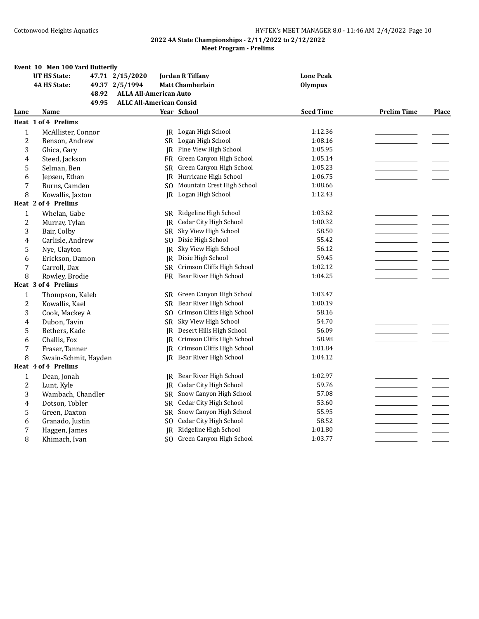|                | Event 10 Men 100 Yard Butterfly |                                 |                               |                  |                    |              |
|----------------|---------------------------------|---------------------------------|-------------------------------|------------------|--------------------|--------------|
|                | <b>UT HS State:</b>             | 47.71 2/15/2020                 | <b>Jordan R Tiffany</b>       | <b>Lone Peak</b> |                    |              |
|                | <b>4A HS State:</b>             | 49.37 2/5/1994                  | <b>Matt Chamberlain</b>       | <b>Olympus</b>   |                    |              |
|                | 48.92                           | <b>ALLA All-American Auto</b>   |                               |                  |                    |              |
|                | 49.95                           | <b>ALLC All-American Consid</b> |                               |                  |                    |              |
| Lane           | Name                            |                                 | Year School                   | <b>Seed Time</b> | <b>Prelim Time</b> | <b>Place</b> |
|                | Heat 1 of 4 Prelims             |                                 |                               |                  |                    |              |
| $\mathbf{1}$   | McAllister, Connor              |                                 | <b>IR</b> Logan High School   | 1:12.36          |                    |              |
| $\overline{2}$ | Benson, Andrew                  |                                 | SR Logan High School          | 1:08.16          |                    |              |
| 3              | Ghica, Gary                     | IR                              | Pine View High School         | 1:05.95          |                    |              |
| 4              | Steed, Jackson                  | FR                              | Green Canyon High School      | 1:05.14          |                    |              |
| 5              | Selman, Ben                     | SR                              | Green Canyon High School      | 1:05.23          |                    |              |
| 6              | Jepsen, Ethan                   |                                 | JR Hurricane High School      | 1:06.75          |                    |              |
| 7              | Burns, Camden                   | SO.                             | Mountain Crest High School    | 1:08.66          |                    |              |
| 8              | Kowallis, Jaxton                | IR.                             | Logan High School             | 1:12.43          |                    |              |
|                | Heat 2 of 4 Prelims             |                                 |                               |                  |                    |              |
| $\mathbf{1}$   | Whelan, Gabe                    | SR                              | Ridgeline High School         | 1:03.62          |                    |              |
| $\overline{2}$ | Murray, Tylan                   | IR                              | <b>Cedar City High School</b> | 1:00.32          |                    |              |
| 3              | Bair, Colby                     | SR                              | Sky View High School          | 58.50            |                    |              |
| 4              | Carlisle, Andrew                | S <sub>O</sub>                  | Dixie High School             | 55.42            |                    |              |
| 5              | Nye, Clayton                    | IR.                             | Sky View High School          | 56.12            |                    |              |
| 6              | Erickson, Damon                 |                                 | JR Dixie High School          | 59.45            |                    |              |
| 7              | Carroll, Dax                    | SR                              | Crimson Cliffs High School    | 1:02.12          |                    |              |
| 8              | Rowley, Brodie                  | FR                              | Bear River High School        | 1:04.25          |                    |              |
|                | Heat 3 of 4 Prelims             |                                 |                               |                  |                    |              |
| $\mathbf{1}$   | Thompson, Kaleb                 | <b>SR</b>                       | Green Canyon High School      | 1:03.47          |                    |              |
| 2              | Kowallis, Kael                  |                                 | SR Bear River High School     | 1:00.19          |                    |              |
| 3              | Cook, Mackey A                  | SO.                             | Crimson Cliffs High School    | 58.16            |                    |              |
| 4              | Dubon, Tavin                    | <b>SR</b>                       | Sky View High School          | 54.70            |                    |              |
| 5              | Bethers, Kade                   | IR                              | Desert Hills High School      | 56.09            |                    |              |
| 6              | Challis, Fox                    |                                 | JR Crimson Cliffs High School | 58.98            |                    |              |
| 7              | Fraser, Tanner                  | <b>IR</b>                       | Crimson Cliffs High School    | 1:01.84          |                    |              |
| 8              | Swain-Schmit, Hayden            |                                 | JR Bear River High School     | 1:04.12          |                    |              |
|                | Heat 4 of 4 Prelims             |                                 |                               |                  |                    |              |
| $\mathbf{1}$   | Dean, Jonah                     | IR                              | Bear River High School        | 1:02.97          |                    |              |
| 2              | Lunt, Kyle                      | IR                              | <b>Cedar City High School</b> | 59.76            |                    |              |
| 3              | Wambach, Chandler               | <b>SR</b>                       | Snow Canyon High School       | 57.08            |                    |              |
| 4              | Dotson, Tobler                  | <b>SR</b>                       | <b>Cedar City High School</b> | 53.60            |                    |              |
| 5              | Green, Daxton                   | SR                              | Snow Canyon High School       | 55.95            |                    |              |
| 6              | Granado, Justin                 | SO.                             | Cedar City High School        | 58.52            |                    |              |
| 7              | Haggen, James                   | IR                              | Ridgeline High School         | 1:01.80          |                    |              |
| 8              | Khimach, Ivan                   |                                 | SO Green Canyon High School   | 1:03.77          |                    |              |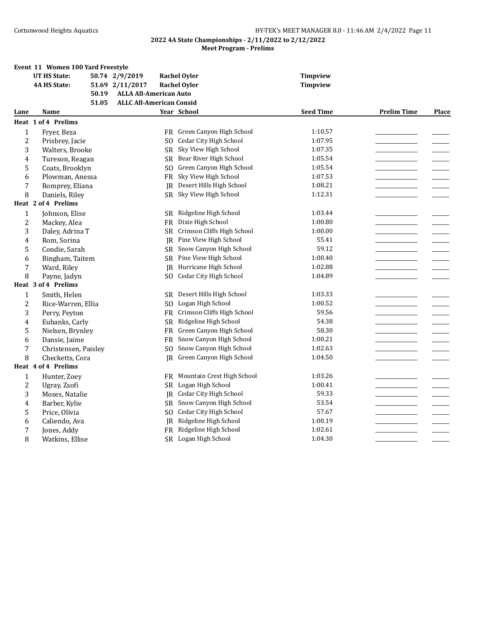|                | Event 11 Women 100 Yard Freestyle |                                 |                               |                  |                    |       |
|----------------|-----------------------------------|---------------------------------|-------------------------------|------------------|--------------------|-------|
|                | <b>UT HS State:</b>               | 50.74 2/9/2019                  | <b>Rachel Oyler</b>           | <b>Timpview</b>  |                    |       |
|                | <b>4A HS State:</b>               | 51.69 2/11/2017                 | <b>Rachel Oyler</b>           | <b>Timpview</b>  |                    |       |
|                | 50.19                             | <b>ALLA All-American Auto</b>   |                               |                  |                    |       |
|                | 51.05                             | <b>ALLC All-American Consid</b> |                               |                  |                    |       |
| Lane           | Name                              |                                 | Year School                   | <b>Seed Time</b> | <b>Prelim Time</b> | Place |
|                | Heat 1 of 4 Prelims               |                                 |                               |                  |                    |       |
| $\mathbf{1}$   | Fryer, Beza                       | FR.                             | Green Canyon High School      | 1:10.57          |                    |       |
| $\overline{c}$ | Prisbrey, Jacie                   | S <sub>O</sub>                  | Cedar City High School        | 1:07.95          |                    |       |
| 3              | Walters, Brooke                   | SR                              | Sky View High School          | 1:07.35          |                    |       |
| 4              | Tureson, Reagan                   | SR                              | Bear River High School        | 1:05.54          |                    |       |
| 5              | Coats, Brooklyn                   | S <sub>O</sub>                  | Green Canyon High School      | 1:05.54          |                    |       |
| 6              | Plowman, Anessa                   | FR                              | Sky View High School          | 1:07.53          |                    |       |
| 7              | Romprey, Eliana                   | IR                              | Desert Hills High School      | 1:08.21          |                    |       |
| 8              | Daniels, Riley                    | SR                              | Sky View High School          | 1:12.31          |                    |       |
|                | Heat 2 of 4 Prelims               |                                 |                               |                  |                    |       |
| $\mathbf{1}$   | Johnson, Elise                    | <b>SR</b>                       | Ridgeline High School         | 1:03.44          |                    |       |
| $\overline{2}$ | Mackey, Alea                      | FR                              | Dixie High School             | 1:00.80          |                    |       |
| 3              | Daley, Adrina T                   | <b>SR</b>                       | Crimson Cliffs High School    | 1:00.00          |                    |       |
| 4              | Rom, Sorina                       | <b>IR</b>                       | Pine View High School         | 55.41            |                    |       |
| 5              | Condie, Sarah                     | SR                              | Snow Canyon High School       | 59.12            |                    |       |
| 6              | Bingham, Taitem                   |                                 | SR Pine View High School      | 1:00.40          |                    |       |
| 7              | Ward, Riley                       | IR                              | Hurricane High School         | 1:02.88          |                    |       |
| 8              | Payne, Jadyn                      | S <sub>O</sub>                  | <b>Cedar City High School</b> | 1:04.89          |                    |       |
|                | Heat 3 of 4 Prelims               |                                 |                               |                  |                    |       |
| $\mathbf{1}$   | Smith, Helen                      | SR.                             | Desert Hills High School      | 1:03.33          |                    |       |
| $\overline{c}$ | Rice-Warren, Ellia                | SO.                             | Logan High School             | 1:00.52          |                    |       |
| 3              | Perry, Peyton                     | FR                              | Crimson Cliffs High School    | 59.56            |                    |       |
| 4              | Eubanks, Carly                    | <b>SR</b>                       | Ridgeline High School         | 54.38            |                    |       |
| 5              | Nielsen, Brynley                  | FR                              | Green Canyon High School      | 58.30            |                    |       |
| 6              | Dansie, Jaime                     | FR                              | Snow Canyon High School       | 1:00.21          |                    |       |
| 7              | Christensen, Paisley              | S <sub>O</sub>                  | Snow Canyon High School       | 1:02.63          |                    |       |
| 8              | Checketts, Cora                   | IR                              | Green Canyon High School      | 1:04.50          |                    |       |
|                | Heat 4 of 4 Prelims               |                                 |                               |                  |                    |       |
| $\mathbf{1}$   | Hunter, Zoey                      | FR                              | Mountain Crest High School    | 1:03.26          |                    |       |
| $\overline{c}$ | Ugray, Zsofi                      |                                 | SR Logan High School          | 1:00.41          |                    |       |
| 3              | Moses, Natalie                    | JR                              | Cedar City High School        | 59.33            |                    |       |
| 4              | Barber, Kylie                     | <b>SR</b>                       | Snow Canyon High School       | 53.54            |                    |       |
| 5              | Price, Olivia                     | S <sub>O</sub>                  | <b>Cedar City High School</b> | 57.67            |                    |       |
| 6              | Caliendo, Ava                     | IR                              | Ridgeline High School         | 1:00.19          |                    |       |
| 7              | Jones, Addy                       | <b>FR</b>                       | Ridgeline High School         | 1:02.61          |                    |       |
| 8              | Watkins, Ellise                   |                                 | SR Logan High School          | 1:04.30          |                    |       |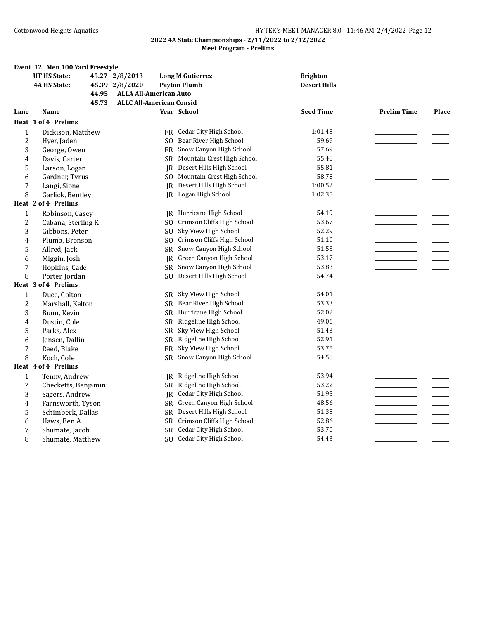|                | Event 12 Men 100 Yard Freestyle |       |                                 |                |                               |                     |                    |              |
|----------------|---------------------------------|-------|---------------------------------|----------------|-------------------------------|---------------------|--------------------|--------------|
|                | <b>UT HS State:</b>             |       | 45.27 2/8/2013                  |                | <b>Long M Gutierrez</b>       | <b>Brighton</b>     |                    |              |
|                | <b>4A HS State:</b>             |       | 45.39 2/8/2020                  |                | <b>Payton Plumb</b>           | <b>Desert Hills</b> |                    |              |
|                |                                 | 44.95 | <b>ALLA All-American Auto</b>   |                |                               |                     |                    |              |
|                |                                 | 45.73 | <b>ALLC All-American Consid</b> |                |                               |                     |                    |              |
| Lane           | Name                            |       |                                 |                | Year School                   | <b>Seed Time</b>    | <b>Prelim Time</b> | <b>Place</b> |
|                | Heat 1 of 4 Prelims             |       |                                 |                |                               |                     |                    |              |
| $\mathbf{1}$   | Dickison, Matthew               |       |                                 |                | FR Cedar City High School     | 1:01.48             |                    |              |
| $\overline{c}$ | Hyer, Jaden                     |       |                                 | SO.            | Bear River High School        | 59.69               |                    |              |
| 3              | George, Owen                    |       |                                 | FR             | Snow Canyon High School       | 57.69               |                    |              |
| 4              | Davis, Carter                   |       |                                 | SR.            | Mountain Crest High School    | 55.48               |                    |              |
| 5              | Larson, Logan                   |       |                                 | IR.            | Desert Hills High School      | 55.81               |                    |              |
| 6              | Gardner, Tyrus                  |       |                                 | SO.            | Mountain Crest High School    | 58.78               |                    |              |
| $\sqrt{ }$     | Langi, Sione                    |       |                                 | IR             | Desert Hills High School      | 1:00.52             |                    |              |
| 8              | Garlick, Bentley                |       |                                 | IR             | Logan High School             | 1:02.35             |                    |              |
|                | Heat 2 of 4 Prelims             |       |                                 |                |                               |                     |                    |              |
| $\mathbf{1}$   | Robinson, Casey                 |       |                                 | IR             | Hurricane High School         | 54.19               |                    |              |
| $\overline{c}$ | Cabana, Sterling K              |       |                                 | S <sub>O</sub> | Crimson Cliffs High School    | 53.67               |                    |              |
| 3              | Gibbons, Peter                  |       |                                 | S <sub>O</sub> | Sky View High School          | 52.29               |                    |              |
| 4              | Plumb, Bronson                  |       |                                 | SO.            | Crimson Cliffs High School    | 51.10               |                    |              |
| 5              | Allred, Jack                    |       |                                 | SR             | Snow Canyon High School       | 51.53               |                    |              |
| 6              | Miggin, Josh                    |       |                                 | JR             | Green Canyon High School      | 53.17               |                    |              |
| 7              | Hopkins, Cade                   |       |                                 | <b>SR</b>      | Snow Canyon High School       | 53.83               |                    |              |
| 8              | Porter, Jordan                  |       |                                 | SO.            | Desert Hills High School      | 54.74               |                    |              |
|                | Heat 3 of 4 Prelims             |       |                                 |                |                               |                     |                    |              |
| 1              | Duce, Colton                    |       |                                 | SR.            | Sky View High School          | 54.01               |                    |              |
| $\overline{2}$ | Marshall, Kelton                |       |                                 | SR             | Bear River High School        | 53.33               |                    |              |
| 3              | Bunn, Kevin                     |       |                                 |                | SR Hurricane High School      | 52.02               |                    |              |
| 4              | Dustin, Cole                    |       |                                 | <b>SR</b>      | Ridgeline High School         | 49.06               |                    |              |
| 5              | Parks, Alex                     |       |                                 | SR             | Sky View High School          | 51.43               |                    |              |
| 6              | Jensen, Dallin                  |       |                                 | SR -           | Ridgeline High School         | 52.91               |                    |              |
| 7              | Reed, Blake                     |       |                                 | <b>FR</b>      | Sky View High School          | 53.75               |                    |              |
| 8              | Koch, Cole                      |       |                                 | SR             | Snow Canyon High School       | 54.58               |                    |              |
|                | Heat 4 of 4 Prelims             |       |                                 |                |                               |                     |                    |              |
| $\mathbf{1}$   | Tenny, Andrew                   |       |                                 | IR             | Ridgeline High School         | 53.94               |                    |              |
| $\overline{c}$ | Checketts, Benjamin             |       |                                 | SR.            | Ridgeline High School         | 53.22               |                    |              |
| 3              | Sagers, Andrew                  |       |                                 | <b>JR</b>      | Cedar City High School        | 51.95               |                    |              |
| 4              | Farnsworth, Tyson               |       |                                 | <b>SR</b>      | Green Canyon High School      | 48.56               |                    |              |
| 5              | Schimbeck, Dallas               |       |                                 | <b>SR</b>      | Desert Hills High School      | 51.38               |                    |              |
| 6              | Haws, Ben A                     |       |                                 | SR             | Crimson Cliffs High School    | 52.86               |                    |              |
| 7              | Shumate, Jacob                  |       |                                 | <b>SR</b>      | Cedar City High School        | 53.70               |                    |              |
| 8              | Shumate, Matthew                |       |                                 | SO.            | <b>Cedar City High School</b> | 54.43               |                    |              |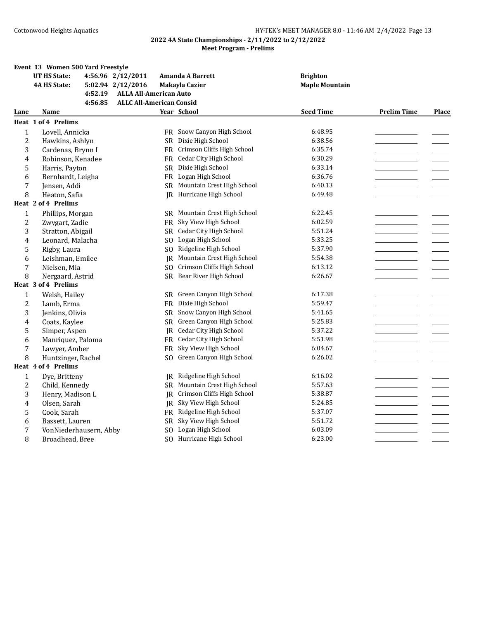|                | Event 13 Women 500 Yard Freestyle |                                 |                               |                       |                    |              |
|----------------|-----------------------------------|---------------------------------|-------------------------------|-----------------------|--------------------|--------------|
|                | <b>UT HS State:</b>               | 4:56.96 2/12/2011               | <b>Amanda A Barrett</b>       | <b>Brighton</b>       |                    |              |
|                | <b>4A HS State:</b>               | 5:02.94 2/12/2016               | <b>Makayla Cazier</b>         | <b>Maple Mountain</b> |                    |              |
|                | 4:52.19                           | <b>ALLA All-American Auto</b>   |                               |                       |                    |              |
|                | 4:56.85                           | <b>ALLC All-American Consid</b> |                               |                       |                    |              |
| Lane           | Name                              |                                 | Year School                   | <b>Seed Time</b>      | <b>Prelim Time</b> | <b>Place</b> |
|                | Heat 1 of 4 Prelims               |                                 |                               |                       |                    |              |
| $\mathbf{1}$   | Lovell, Annicka                   |                                 | FR Snow Canyon High School    | 6:48.95               |                    |              |
| 2              | Hawkins, Ashlyn                   | <b>SR</b>                       | Dixie High School             | 6:38.56               |                    |              |
| 3              | Cardenas, Brynn I                 |                                 | FR Crimson Cliffs High School | 6:35.74               |                    |              |
| 4              | Robinson, Kenadee                 | <b>FR</b>                       | <b>Cedar City High School</b> | 6:30.29               |                    |              |
| 5              | Harris, Payton                    |                                 | SR Dixie High School          | 6:33.14               |                    |              |
| 6              | Bernhardt, Leigha                 |                                 | FR Logan High School          | 6:36.76               |                    |              |
| 7              | Jensen, Addi                      |                                 | SR Mountain Crest High School | 6:40.13               |                    |              |
| 8              | Heaton, Safia                     |                                 | IR Hurricane High School      | 6:49.48               |                    |              |
|                | Heat 2 of 4 Prelims               |                                 |                               |                       |                    |              |
| $\mathbf{1}$   | Phillips, Morgan                  |                                 | SR Mountain Crest High School | 6:22.45               |                    |              |
| $\overline{c}$ | Zwygart, Zadie                    | <b>FR</b>                       | Sky View High School          | 6:02.59               |                    |              |
| 3              | Stratton, Abigail                 |                                 | SR Cedar City High School     | 5:51.24               |                    |              |
| 4              | Leonard, Malacha                  | SO.                             | Logan High School             | 5:33.25               |                    |              |
| 5              | Rigby, Laura                      | SO.                             | Ridgeline High School         | 5:37.90               |                    |              |
| 6              | Leishman, Emilee                  | IR                              | Mountain Crest High School    | 5:54.38               |                    |              |
| 7              | Nielsen, Mia                      | SO.                             | Crimson Cliffs High School    | 6:13.12               |                    |              |
| 8              | Nergaard, Astrid                  |                                 | SR Bear River High School     | 6:26.67               |                    |              |
|                | Heat 3 of 4 Prelims               |                                 |                               |                       |                    |              |
| 1              | Welsh, Hailey                     |                                 | SR Green Canyon High School   | 6:17.38               |                    |              |
| 2              | Lamb, Erma                        |                                 | FR Dixie High School          | 5:59.47               |                    |              |
| 3              | Jenkins, Olivia                   | <b>SR</b>                       | Snow Canyon High School       | 5:41.65               |                    |              |
| 4              | Coats, Kaylee                     | SR.                             | Green Canyon High School      | 5:25.83               |                    |              |
| 5              | Simper, Aspen                     | JR                              | Cedar City High School        | 5:37.22               |                    |              |
| 6              | Manriquez, Paloma                 |                                 | FR Cedar City High School     | 5:51.98               |                    |              |
| 7              | Lawyer, Amber                     | <b>FR</b>                       | Sky View High School          | 6:04.67               |                    |              |
| 8              | Huntzinger, Rachel                | SO.                             | Green Canyon High School      | 6:26.02               |                    |              |
|                | Heat 4 of 4 Prelims               |                                 |                               |                       |                    |              |
| $\mathbf{1}$   | Dye, Britteny                     | <b>IR</b>                       | Ridgeline High School         | 6:16.02               |                    |              |
| 2              | Child, Kennedy                    |                                 | SR Mountain Crest High School | 5:57.63               |                    |              |
| 3              | Henry, Madison L                  | IR.                             | Crimson Cliffs High School    | 5:38.87               |                    |              |
| 4              | Olsen, Sarah                      | IR                              | Sky View High School          | 5:24.85               |                    |              |
| 5              | Cook, Sarah                       | FR                              | Ridgeline High School         | 5:37.07               |                    |              |
| 6              | Bassett, Lauren                   | SR                              | Sky View High School          | 5:51.72               |                    |              |
| 7              | VonNiederhausern, Abby            | SO.                             | Logan High School             | 6:03.09               |                    |              |
| 8              | Broadhead, Bree                   | S <sub>O</sub>                  | Hurricane High School         | 6:23.00               |                    |              |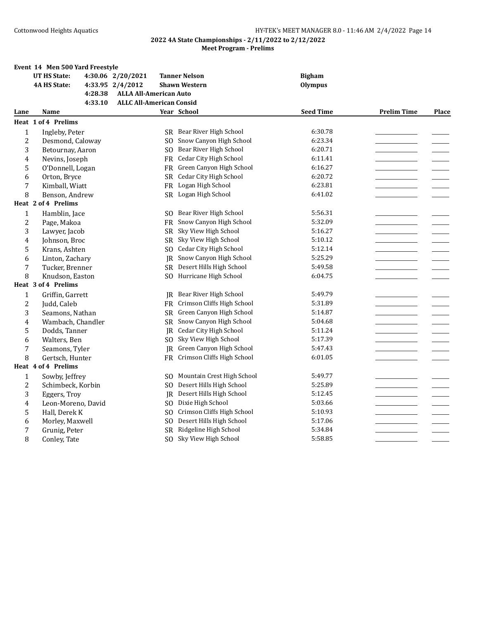|      | Event 14 Men 500 Yard Freestyle |                                 |                               |                  |                    |       |
|------|---------------------------------|---------------------------------|-------------------------------|------------------|--------------------|-------|
|      | <b>UT HS State:</b>             | 4:30.06 2/20/2021               | <b>Tanner Nelson</b>          | <b>Bigham</b>    |                    |       |
|      | <b>4A HS State:</b>             | 4:33.95 2/4/2012                | <b>Shawn Western</b>          | <b>Olympus</b>   |                    |       |
|      | 4:28.38                         | <b>ALLA All-American Auto</b>   |                               |                  |                    |       |
|      | 4:33.10                         | <b>ALLC All-American Consid</b> |                               |                  |                    |       |
| Lane | <b>Name</b>                     |                                 | Year School                   | <b>Seed Time</b> | <b>Prelim Time</b> | Place |
|      | Heat 1 of 4 Prelims             |                                 |                               |                  |                    |       |
| 1    | Ingleby, Peter                  |                                 | SR Bear River High School     | 6:30.78          |                    |       |
| 2    | Desmond, Caloway                | SO.                             | Snow Canyon High School       | 6:23.34          |                    |       |
| 3    | Betournay, Aaron                | SO.                             | Bear River High School        | 6:20.71          |                    |       |
| 4    | Nevins, Joseph                  | FR                              | <b>Cedar City High School</b> | 6:11.41          |                    |       |
| 5    | O'Donnell, Logan                | FR                              | Green Canyon High School      | 6:16.27          |                    |       |
| 6    | Orton, Bryce                    |                                 | SR Cedar City High School     | 6:20.72          |                    |       |
| 7    | Kimball, Wiatt                  | <b>FR</b>                       | Logan High School             | 6:23.81          |                    |       |
| 8    | Benson, Andrew                  |                                 | SR Logan High School          | 6:41.02          |                    |       |
|      | Heat 2 of 4 Prelims             |                                 |                               |                  |                    |       |
| 1    | Hamblin, Jace                   | SO.                             | Bear River High School        | 5:56.31          |                    |       |
| 2    | Page, Makoa                     | <b>FR</b>                       | Snow Canyon High School       | 5:32.09          |                    |       |
| 3    | Lawyer, Jacob                   | SR.                             | Sky View High School          | 5:16.27          |                    |       |
| 4    | Johnson, Broc                   | <b>SR</b>                       | Sky View High School          | 5:10.12          |                    |       |
| 5    | Krans, Ashten                   | SO.                             | Cedar City High School        | 5:12.14          |                    |       |
| 6    | Linton, Zachary                 |                                 | JR Snow Canyon High School    | 5:25.29          |                    |       |
| 7    | Tucker, Brenner                 | SR                              | Desert Hills High School      | 5:49.58          |                    |       |
| 8    | Knudson, Easton                 | SO.                             | Hurricane High School         | 6:04.75          |                    |       |
|      | Heat 3 of 4 Prelims             |                                 |                               |                  |                    |       |
| 1    | Griffin, Garrett                | IR                              | Bear River High School        | 5:49.79          |                    |       |
| 2    | Judd, Caleb                     | FR.                             | Crimson Cliffs High School    | 5:31.89          |                    |       |
| 3    | Seamons, Nathan                 | SR.                             | Green Canyon High School      | 5:14.87          |                    |       |
| 4    | Wambach, Chandler               | SR                              | Snow Canyon High School       | 5:04.68          |                    |       |
| 5    | Dodds, Tanner                   | IR                              | Cedar City High School        | 5:11.24          |                    |       |
| 6    | Walters, Ben                    | SO.                             | Sky View High School          | 5:17.39          |                    |       |
| 7    | Seamons, Tyler                  | IR.                             | Green Canyon High School      | 5:47.43          |                    |       |
| 8    | Gertsch, Hunter                 | FR                              | Crimson Cliffs High School    | 6:01.05          |                    |       |
|      | Heat 4 of 4 Prelims             |                                 |                               |                  |                    |       |
| 1    | Sowby, Jeffrey                  | SO.                             | Mountain Crest High School    | 5:49.77          |                    |       |
| 2    | Schimbeck, Korbin               | SO.                             | Desert Hills High School      | 5:25.89          |                    |       |
| 3    | Eggers, Troy                    | IR                              | Desert Hills High School      | 5:12.45          |                    |       |
| 4    | Leon-Moreno, David              | SO.                             | Dixie High School             | 5:03.66          |                    |       |
| 5    | Hall, Derek K                   | SO.                             | Crimson Cliffs High School    | 5:10.93          |                    |       |
| 6    | Morley, Maxwell                 | S <sub>O</sub>                  | Desert Hills High School      | 5:17.06          |                    |       |
| 7    | Grunig, Peter                   | <b>SR</b>                       | Ridgeline High School         | 5:34.84          |                    |       |
| 8    | Conley, Tate                    | SO.                             | Sky View High School          | 5:58.85          |                    |       |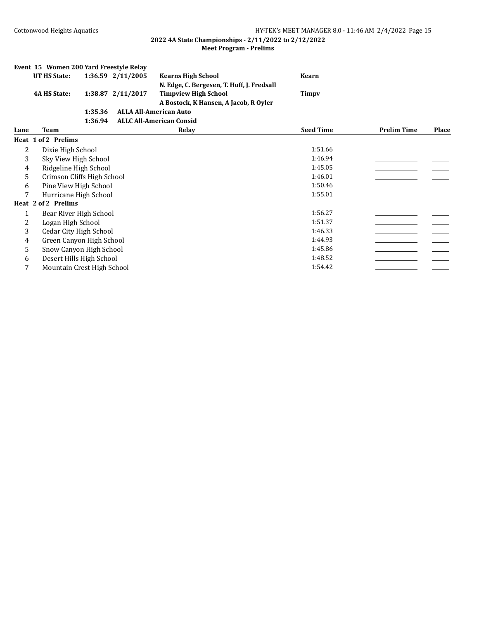|      | Event 15 Women 200 Yard Freestyle Relay |         |                   |                                            |                  |                    |       |
|------|-----------------------------------------|---------|-------------------|--------------------------------------------|------------------|--------------------|-------|
|      | UT HS State:                            |         | 1:36.59 2/11/2005 | <b>Kearns High School</b>                  | <b>Kearn</b>     |                    |       |
|      |                                         |         |                   | N. Edge, C. Bergesen, T. Huff, J. Fredsall |                  |                    |       |
|      | <b>4A HS State:</b>                     |         | 1:38.87 2/11/2017 | <b>Timpview High School</b>                | Timpy            |                    |       |
|      |                                         |         |                   | A Bostock, K Hansen, A Jacob, R Oyler      |                  |                    |       |
|      |                                         | 1:35.36 |                   | <b>ALLA All-American Auto</b>              |                  |                    |       |
|      |                                         | 1:36.94 |                   | <b>ALLC All-American Consid</b>            |                  |                    |       |
| Lane | Team                                    |         |                   | Relay                                      | <b>Seed Time</b> | <b>Prelim Time</b> | Place |
|      | Heat 1 of 2 Prelims                     |         |                   |                                            |                  |                    |       |
| 2    | Dixie High School                       |         |                   |                                            | 1:51.66          |                    |       |
| 3    | Sky View High School                    |         |                   |                                            | 1:46.94          |                    |       |
| 4    | Ridgeline High School                   |         |                   |                                            | 1:45.05          |                    |       |
| 5    | Crimson Cliffs High School              |         |                   |                                            | 1:46.01          |                    |       |
| 6    | Pine View High School                   |         |                   |                                            | 1:50.46          |                    |       |
| 7    | Hurricane High School                   |         |                   |                                            | 1:55.01          |                    |       |
|      | Heat 2 of 2 Prelims                     |         |                   |                                            |                  |                    |       |
| 1    | Bear River High School                  |         |                   |                                            | 1:56.27          |                    |       |
| 2    | Logan High School                       |         |                   |                                            | 1:51.37          |                    |       |
| 3    | <b>Cedar City High School</b>           |         |                   |                                            | 1:46.33          |                    |       |
| 4    | Green Canyon High School                |         |                   |                                            | 1:44.93          |                    |       |
| 5    | Snow Canyon High School                 |         |                   |                                            | 1:45.86          |                    |       |
| 6    | Desert Hills High School                |         |                   |                                            | 1:48.52          |                    |       |
| 7    | Mountain Crest High School              |         |                   |                                            | 1:54.42          |                    |       |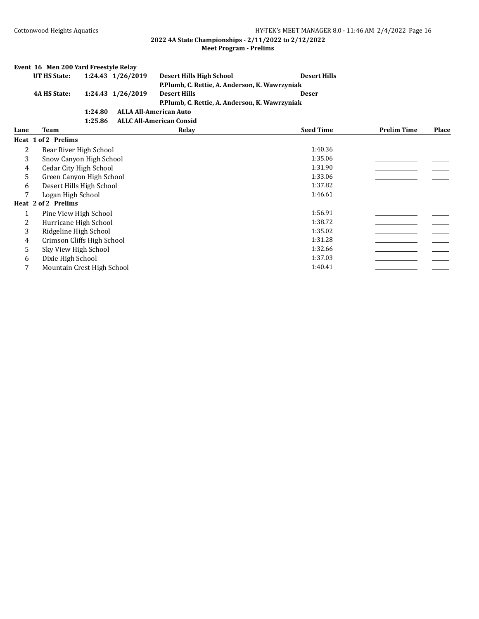|      | Event 16 Men 200 Yard Freestyle Relay |         |                   |                                                |                     |                    |       |
|------|---------------------------------------|---------|-------------------|------------------------------------------------|---------------------|--------------------|-------|
|      | <b>UT HS State:</b>                   |         | 1:24.43 1/26/2019 | <b>Desert Hills High School</b>                | <b>Desert Hills</b> |                    |       |
|      |                                       |         |                   | P.Plumb, C. Rettie, A. Anderson, K. Wawrzyniak |                     |                    |       |
|      | <b>4A HS State:</b>                   |         | 1:24.43 1/26/2019 | <b>Desert Hills</b>                            | <b>Deser</b>        |                    |       |
|      |                                       |         |                   | P.Plumb, C. Rettie, A. Anderson, K. Wawrzyniak |                     |                    |       |
|      |                                       | 1:24.80 |                   | <b>ALLA All-American Auto</b>                  |                     |                    |       |
|      |                                       | 1:25.86 |                   | <b>ALLC All-American Consid</b>                |                     |                    |       |
| Lane | <b>Team</b>                           |         |                   | Relay                                          | <b>Seed Time</b>    | <b>Prelim Time</b> | Place |
|      | Heat 1 of 2 Prelims                   |         |                   |                                                |                     |                    |       |
| 2    | Bear River High School                |         |                   |                                                | 1:40.36             |                    |       |
| 3    | Snow Canyon High School               |         |                   |                                                | 1:35.06             |                    |       |
| 4    | Cedar City High School                |         |                   |                                                | 1:31.90             |                    |       |
| 5    | Green Canyon High School              |         |                   |                                                | 1:33.06             |                    |       |
| 6    | Desert Hills High School              |         |                   |                                                | 1:37.82             |                    |       |
| 7    | Logan High School                     |         |                   |                                                | 1:46.61             |                    |       |
|      | Heat 2 of 2 Prelims                   |         |                   |                                                |                     |                    |       |
| 1    | Pine View High School                 |         |                   |                                                | 1:56.91             |                    |       |
| 2    | Hurricane High School                 |         |                   |                                                | 1:38.72             |                    |       |
| 3    | Ridgeline High School                 |         |                   |                                                | 1:35.02             |                    |       |
| 4    | Crimson Cliffs High School            |         |                   |                                                | 1:31.28             |                    |       |
| 5    | Sky View High School                  |         |                   |                                                | 1:32.66             |                    |       |
| 6    | Dixie High School                     |         |                   |                                                | 1:37.03             |                    |       |
| 7    | Mountain Crest High School            |         |                   |                                                | 1:40.41             |                    |       |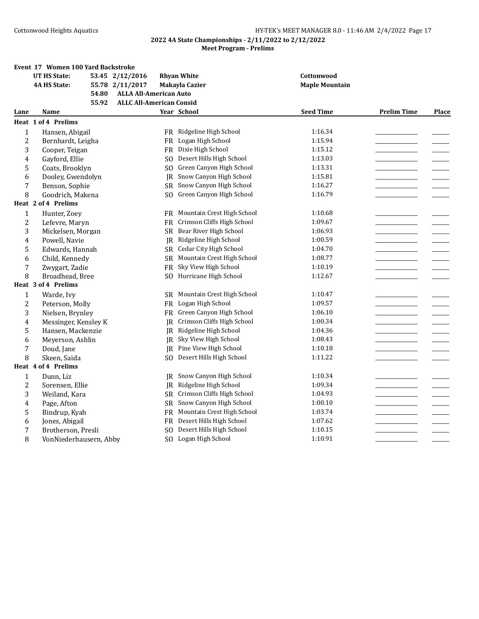#### **2022 4A State Championships - 2/11/2022 to 2/12/2022 Meet Program - Prelims**

#### **Event 17 Women 100 Yard Backstroke UT HS State: 53.45 2/12/2016 Rhyan White Cottonwood 4A HS State: 55.78 2/11/2017 Makayla Cazier Maple Mountain 54.80 ALLA All-American Auto 55.92 ALLC All-American Consid Lane Name Year School Seed Time Prelim Time Place Heat 1 of 4 Prelims** 1 Hansen, Abigail FR Ridgeline High School 1:16.34 2 Bernhardt, Leigha FR Logan High School 1:15.94 3 Cooper, Teigan FR Dixie High School 1:15.12 4 Gayford, Ellie SO Desert Hills High School 1:13.03 5 Coats, Brooklyn SO Green Canyon High School 1:13.31 6 Dooley, Gwendolyn JR Snow Canyon High School 1:15.81 7 Benson, Sophie SR Snow Canyon High School 1:16.27 8 Goodrich, Makena SO Green Canyon High School 1:16.79 **Heat 2 of 4 Prelims** 1 Hunter, Zoey **FR** Mountain Crest High School 1:10.68 2 Lefevre, Maryn FR Crimson Cliffs High School 1:09.67 3 Mickelsen, Morgan SR Bear River High School 1:06.93 4 Powell, Navie 1:00.59  $\,$  JR Ridgeline High School 1:00.59  $\,$  1:00.59  $\,$ 5 Edwards, Hannah SR Cedar City High School 1:04.70 6 Child, Kennedy SR Mountain Crest High School 1:08.77 7 Zwygart, Zadie 1:10.19 FR Sky View High School 1:10.19 8 Broadhead, Bree SO Hurricane High School 1:12.67 **Heat 3 of 4 Prelims** 1 Warde, Ivy **SR Mountain Crest High School** 1:10.47 2 Peterson, Molly FR Logan High School 1:09.57 3 Nielsen, Brynley FR Green Canyon High School 1:06.10 4 Messinger, Kensley K JR Crimson Cliffs High School 1:00.34 5 Hansen, Mackenzie 1:04.36 JR Ridgeline High School 1:04.36 6 Meyerson, Ashlin JR Sky View High School 1:08.43 7 Doud, Jane 1:10.18 **IR** Pine View High School 1:10.18 **1:10.18** 8 Skeen, Saida Sommer Sommer Sommer Sommer Sommer Sommer Sommer Sommer Sommer Sommer Sommer Sommer Sommer Sommer Sommer Sommer Sommer Sommer Sommer Sommer Sommer Sommer Sommer Sommer Sommer Sommer Sommer Sommer Sommer Somm **Heat 4 of 4 Prelims** 1 Dunn, Liz Christian High School 1:10.34 **IR** Snow Canyon High School 1:10.34 2 Sorensen, Ellie JR Ridgeline High School 1:09.34 3 Weiland, Kara SR Crimson Cliffs High School 1:04.93 4 Page, Afton SR Snow Canyon High School 1:00.10 5 Bindrup, Kyah FR Mountain Crest High School 1:03.74 6 Jones, Abigail **FR** Desert Hills High School 1:07.62 7 Brotherson, Presli SQ Desert Hills High School 1:10.15 8 VonNiederhausern, Abby SO Logan High School 1:10.91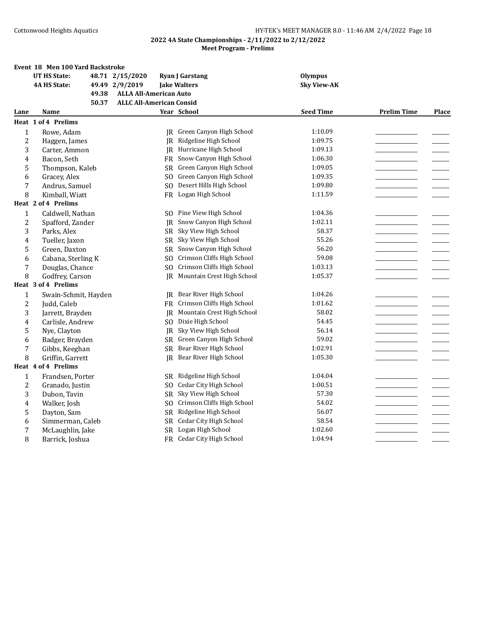|                  | Event 18 Men 100 Yard Backstroke |                                 |                               |                    |                    |       |
|------------------|----------------------------------|---------------------------------|-------------------------------|--------------------|--------------------|-------|
|                  | <b>UT HS State:</b>              | 48.71 2/15/2020                 | <b>Ryan J Garstang</b>        | <b>Olympus</b>     |                    |       |
|                  | <b>4A HS State:</b>              | 49.49 2/9/2019                  | <b>Jake Walters</b>           | <b>Sky View-AK</b> |                    |       |
|                  | 49.38                            | <b>ALLA All-American Auto</b>   |                               |                    |                    |       |
|                  | 50.37                            | <b>ALLC All-American Consid</b> |                               |                    |                    |       |
| Lane             | Name                             |                                 | Year School                   | <b>Seed Time</b>   | <b>Prelim Time</b> | Place |
|                  | Heat 1 of 4 Prelims              |                                 |                               |                    |                    |       |
| $\mathbf{1}$     | Rowe, Adam                       |                                 | JR Green Canyon High School   | 1:10.09            |                    |       |
| $\overline{c}$   | Haggen, James                    | IR.                             | Ridgeline High School         | 1:09.75            |                    |       |
| 3                | Carter, Ammon                    | IR.                             | Hurricane High School         | 1:09.13            |                    |       |
| 4                | Bacon, Seth                      | FR                              | Snow Canyon High School       | 1:06.30            |                    |       |
| 5                | Thompson, Kaleb                  | SR                              | Green Canyon High School      | 1:09.05            |                    |       |
| 6                | Gracey, Alex                     | SO.                             | Green Canyon High School      | 1:09.35            |                    |       |
| $\sqrt{2}$       | Andrus, Samuel                   | S <sub>O</sub>                  | Desert Hills High School      | 1:09.80            |                    |       |
| 8                | Kimball, Wiatt                   | <b>FR</b>                       | Logan High School             | 1:11.59            |                    |       |
|                  | Heat 2 of 4 Prelims              |                                 |                               |                    |                    |       |
| $\mathbf{1}$     | Caldwell, Nathan                 | SO.                             | Pine View High School         | 1:04.36            |                    |       |
| $\overline{c}$   | Spafford, Zander                 | IR.                             | Snow Canyon High School       | 1:02.11            |                    |       |
| 3                | Parks, Alex                      | SR                              | Sky View High School          | 58.37              |                    |       |
| 4                | Tueller, Jaxon                   | SR                              | Sky View High School          | 55.26              |                    |       |
| 5                | Green, Daxton                    | <b>SR</b>                       | Snow Canyon High School       | 56.20              |                    |       |
| 6                | Cabana, Sterling K               | S <sub>0</sub>                  | Crimson Cliffs High School    | 59.08              |                    |       |
| 7                | Douglas, Chance                  | S <sub>O</sub>                  | Crimson Cliffs High School    | 1:03.13            |                    |       |
| 8                | Godfrey, Carson                  | <b>IR</b>                       | Mountain Crest High School    | 1:05.37            |                    |       |
|                  | Heat 3 of 4 Prelims              |                                 |                               |                    |                    |       |
| $\mathbf{1}$     | Swain-Schmit, Hayden             | IR.                             | Bear River High School        | 1:04.26            |                    |       |
| $\boldsymbol{2}$ | Judd, Caleb                      | FR.                             | Crimson Cliffs High School    | 1:01.62            |                    |       |
| 3                | Jarrett, Brayden                 | <b>IR</b>                       | Mountain Crest High School    | 58.02              |                    |       |
| 4                | Carlisle, Andrew                 | S <sub>O</sub>                  | Dixie High School             | 54.45              |                    |       |
| 5                | Nye, Clayton                     | IR                              | Sky View High School          | 56.14              |                    |       |
| 6                | Badger, Brayden                  |                                 | SR Green Canyon High School   | 59.02              |                    |       |
| 7                | Gibbs, Keeghan                   | <b>SR</b>                       | Bear River High School        | 1:02.91            |                    |       |
| 8                | Griffin, Garrett                 | IR                              | Bear River High School        | 1:05.30            |                    |       |
|                  | Heat 4 of 4 Prelims              |                                 |                               |                    |                    |       |
| $\mathbf{1}$     | Frandsen, Porter                 |                                 | SR Ridgeline High School      | 1:04.04            |                    |       |
| 2                | Granado, Justin                  | SO.                             | <b>Cedar City High School</b> | 1:00.51            |                    |       |
| 3                | Dubon, Tavin                     | SR                              | Sky View High School          | 57.30              |                    |       |
| 4                | Walker, Josh                     | SO.                             | Crimson Cliffs High School    | 54.02              |                    |       |
| 5                | Dayton, Sam                      | SR                              | Ridgeline High School         | 56.07              |                    |       |
| 6                | Simmerman, Caleb                 | <b>SR</b>                       | <b>Cedar City High School</b> | 58.54              |                    |       |
| 7                | McLaughlin, Jake                 | <b>SR</b>                       | Logan High School             | 1:02.60            |                    |       |
| 8                | Barrick, Joshua                  |                                 | FR Cedar City High School     | 1:04.94            |                    |       |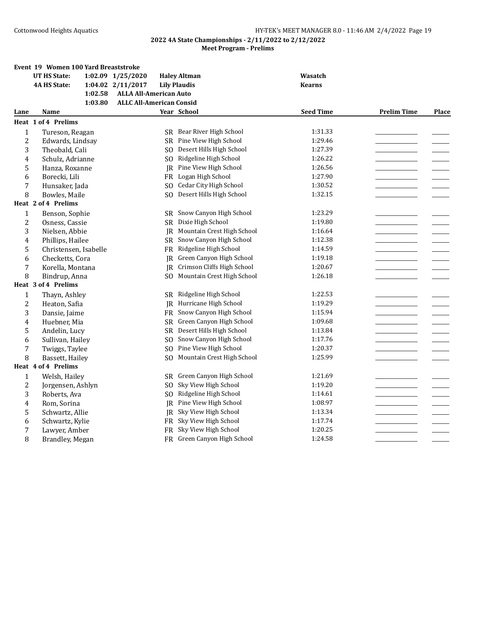|                | Event 19 Women 100 Yard Breaststroke |                                 |                             |                  |                    |       |
|----------------|--------------------------------------|---------------------------------|-----------------------------|------------------|--------------------|-------|
|                | <b>UT HS State:</b>                  | 1:02.09 1/25/2020               | <b>Haley Altman</b>         | <b>Wasatch</b>   |                    |       |
|                | <b>4A HS State:</b>                  | 1:04.02 2/11/2017               | <b>Lily Plaudis</b>         | <b>Kearns</b>    |                    |       |
|                | 1:02.58                              | <b>ALLA All-American Auto</b>   |                             |                  |                    |       |
|                | 1:03.80                              | <b>ALLC All-American Consid</b> |                             |                  |                    |       |
| Lane           | Name                                 |                                 | Year School                 | <b>Seed Time</b> | <b>Prelim Time</b> | Place |
|                | Heat 1 of 4 Prelims                  |                                 |                             |                  |                    |       |
| $\mathbf{1}$   | Tureson, Reagan                      |                                 | SR Bear River High School   | 1:31.33          |                    |       |
| $\overline{c}$ | Edwards, Lindsay                     | SR.                             | Pine View High School       | 1:29.46          |                    |       |
| 3              | Theobald, Cali                       | SO.                             | Desert Hills High School    | 1:27.39          |                    |       |
| 4              | Schulz, Adrianne                     | SO.                             | Ridgeline High School       | 1:26.22          |                    |       |
| 5              | Hanza, Roxanne                       | IR.                             | Pine View High School       | 1:26.56          |                    |       |
| 6              | Borecki, Lili                        |                                 | FR Logan High School        | 1:27.90          |                    |       |
| 7              | Hunsaker, Jada                       | SO.                             | Cedar City High School      | 1:30.52          |                    |       |
| 8              | Bowles, Maile                        |                                 | SO Desert Hills High School | 1:32.15          |                    |       |
|                | Heat 2 of 4 Prelims                  |                                 |                             |                  |                    |       |
| $\mathbf{1}$   | Benson, Sophie                       | SR                              | Snow Canyon High School     | 1:23.29          |                    |       |
| $\overline{c}$ | Osness, Cassie                       | SR.                             | Dixie High School           | 1:19.80          |                    |       |
| 3              | Nielsen, Abbie                       | JR                              | Mountain Crest High School  | 1:16.64          |                    |       |
| 4              | Phillips, Hailee                     | SR.                             | Snow Canyon High School     | 1:12.38          |                    |       |
| 5              | Christensen, Isabelle                | FR                              | Ridgeline High School       | 1:14.59          |                    |       |
| 6              | Checketts, Cora                      | IR                              | Green Canyon High School    | 1:19.18          |                    |       |
| 7              | Korella, Montana                     | IR                              | Crimson Cliffs High School  | 1:20.67          |                    |       |
| 8              | Bindrup, Anna                        | SO.                             | Mountain Crest High School  | 1:26.18          |                    |       |
|                | Heat 3 of 4 Prelims                  |                                 |                             |                  |                    |       |
| $\mathbf{1}$   | Thayn, Ashley                        | SR.                             | Ridgeline High School       | 1:22.53          |                    |       |
| $\overline{c}$ | Heaton, Safia                        |                                 | JR Hurricane High School    | 1:19.29          |                    |       |
| 3              | Dansie, Jaime                        | FR                              | Snow Canyon High School     | 1:15.94          |                    |       |
| 4              | Huebner, Mia                         | <b>SR</b>                       | Green Canyon High School    | 1:09.68          |                    |       |
| 5              | Andelin, Lucy                        | SR.                             | Desert Hills High School    | 1:13.84          |                    |       |
| 6              | Sullivan, Hailey                     | SO.                             | Snow Canyon High School     | 1:17.76          |                    |       |
| 7              | Twiggs, Taylee                       | SO.                             | Pine View High School       | 1:20.37          |                    |       |
| 8              | Bassett, Hailey                      | S <sub>O</sub>                  | Mountain Crest High School  | 1:25.99          |                    |       |
|                | Heat 4 of 4 Prelims                  |                                 |                             |                  |                    |       |
| $\mathbf{1}$   | Welsh, Hailey                        | SR.                             | Green Canyon High School    | 1:21.69          |                    |       |
| $\overline{c}$ | Jorgensen, Ashlyn                    | SO.                             | Sky View High School        | 1:19.20          |                    |       |
| 3              | Roberts, Ava                         | SO.                             | Ridgeline High School       | 1:14.61          |                    |       |
| 4              | Rom, Sorina                          | <b>IR</b>                       | Pine View High School       | 1:08.97          |                    |       |
| 5              | Schwartz, Allie                      | IR                              | Sky View High School        | 1:13.34          |                    |       |
| 6              | Schwartz, Kylie                      | FR -                            | Sky View High School        | 1:17.74          |                    |       |
| 7              | Lawyer, Amber                        |                                 | FR Sky View High School     | 1:20.25          |                    |       |
| 8              | Brandley, Megan                      |                                 | FR Green Canyon High School | 1:24.58          |                    |       |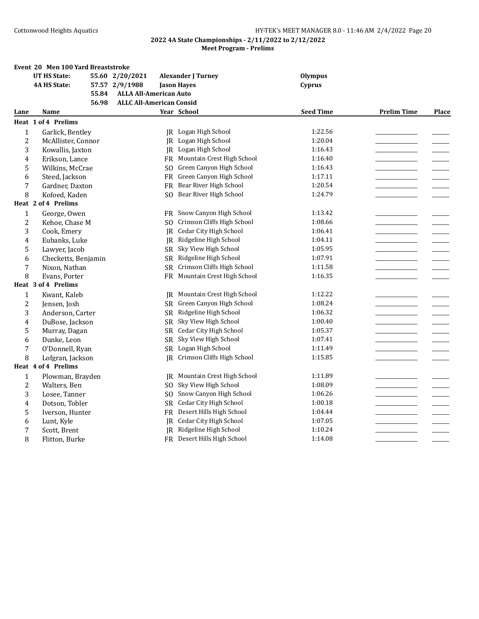|                  | Event 20 Men 100 Yard Breaststroke       |                               |                               |                  |                    |              |  |  |  |  |
|------------------|------------------------------------------|-------------------------------|-------------------------------|------------------|--------------------|--------------|--|--|--|--|
|                  | <b>UT HS State:</b>                      | 55.60 2/20/2021               | <b>Alexander J Turney</b>     | <b>Olympus</b>   |                    |              |  |  |  |  |
|                  | <b>4A HS State:</b>                      | 57.57 2/9/1988                | <b>Jason Hayes</b>            | Cyprus           |                    |              |  |  |  |  |
|                  | 55.84                                    | <b>ALLA All-American Auto</b> |                               |                  |                    |              |  |  |  |  |
|                  | <b>ALLC All-American Consid</b><br>56.98 |                               |                               |                  |                    |              |  |  |  |  |
| Lane             | Name                                     |                               | Year School                   | <b>Seed Time</b> | <b>Prelim Time</b> | <b>Place</b> |  |  |  |  |
|                  | Heat 1 of 4 Prelims                      |                               |                               |                  |                    |              |  |  |  |  |
| $\mathbf{1}$     | Garlick, Bentley                         |                               | JR Logan High School          | 1:22.56          |                    |              |  |  |  |  |
| $\overline{2}$   | McAllister, Connor                       | IR.                           | Logan High School             | 1:20.04          |                    |              |  |  |  |  |
| 3                | Kowallis, Jaxton                         |                               | JR Logan High School          | 1:16.43          |                    |              |  |  |  |  |
| 4                | Erikson, Lance                           | FR                            | Mountain Crest High School    | 1:16.40          |                    |              |  |  |  |  |
| 5                | Wilkins, McCrae                          | S <sub>O</sub>                | Green Canyon High School      | 1:16.43          |                    |              |  |  |  |  |
| 6                | Steed, Jackson                           | <b>FR</b>                     | Green Canyon High School      | 1:17.11          |                    |              |  |  |  |  |
| $\boldsymbol{7}$ | Gardner, Daxton                          |                               | FR Bear River High School     | 1:20.54          |                    |              |  |  |  |  |
| 8                | Kofoed, Kaden                            | SO.                           | Bear River High School        | 1:24.79          |                    |              |  |  |  |  |
|                  | Heat 2 of 4 Prelims                      |                               |                               |                  |                    |              |  |  |  |  |
| $\mathbf{1}$     | George, Owen                             | FR                            | Snow Canyon High School       | 1:13.42          |                    |              |  |  |  |  |
| $\overline{2}$   | Kehoe, Chase M                           | SO.                           | Crimson Cliffs High School    | 1:08.66          |                    |              |  |  |  |  |
| 3                | Cook, Emery                              |                               | JR Cedar City High School     | 1:06.41          |                    |              |  |  |  |  |
| 4                | Eubanks, Luke                            | JR                            | Ridgeline High School         | 1:04.11          |                    |              |  |  |  |  |
| 5                | Lawyer, Jacob                            | <b>SR</b>                     | Sky View High School          | 1:05.95          |                    |              |  |  |  |  |
| 6                | Checketts, Benjamin                      |                               | SR Ridgeline High School      | 1:07.91          |                    |              |  |  |  |  |
| $\boldsymbol{7}$ | Nixon, Nathan                            | SR.                           | Crimson Cliffs High School    | 1:11.58          |                    |              |  |  |  |  |
| 8                | Evans, Porter                            | <b>FR</b>                     | Mountain Crest High School    | 1:16.35          |                    |              |  |  |  |  |
|                  | Heat 3 of 4 Prelims                      |                               |                               |                  |                    |              |  |  |  |  |
| $\mathbf{1}$     | Kwant, Kaleb                             | IR                            | Mountain Crest High School    | 1:12.22          |                    |              |  |  |  |  |
| $\overline{2}$   | Jensen, Josh                             |                               | SR Green Canyon High School   | 1:08.24          |                    |              |  |  |  |  |
| 3                | Anderson, Carter                         |                               | SR Ridgeline High School      | 1:06.32          |                    |              |  |  |  |  |
| $\overline{4}$   | DuBose, Jackson                          | SR                            | Sky View High School          | 1:00.40          |                    |              |  |  |  |  |
| 5                | Murray, Dagan                            |                               | SR Cedar City High School     | 1:05.37          |                    |              |  |  |  |  |
| 6                | Dunke, Leon                              |                               | SR Sky View High School       | 1:07.41          |                    |              |  |  |  |  |
| 7                | O'Donnell, Ryan                          |                               | SR Logan High School          | 1:11.49          |                    |              |  |  |  |  |
| 8                | Lofgran, Jackson                         |                               | JR Crimson Cliffs High School | 1:15.85          |                    |              |  |  |  |  |
|                  | Heat 4 of 4 Prelims                      |                               |                               |                  |                    |              |  |  |  |  |
| $\mathbf{1}$     | Plowman, Brayden                         | IR                            | Mountain Crest High School    | 1:11.89          |                    |              |  |  |  |  |
| $\overline{c}$   | Walters, Ben                             | SO.                           | Sky View High School          | 1:08.09          |                    |              |  |  |  |  |
| 3                | Losee, Tanner                            | S <sub>O</sub>                | Snow Canyon High School       | 1:06.26          |                    |              |  |  |  |  |
| 4                | Dotson, Tobler                           | <b>SR</b>                     | Cedar City High School        | 1:00.18          |                    |              |  |  |  |  |
| 5                | Iverson, Hunter                          | <b>FR</b>                     | Desert Hills High School      | 1:04.44          |                    |              |  |  |  |  |
| 6                | Lunt, Kyle                               |                               | JR Cedar City High School     | 1:07.05          |                    |              |  |  |  |  |
| 7                | Scott, Brent                             | <b>IR</b>                     | Ridgeline High School         | 1:10.24          |                    |              |  |  |  |  |
| 8                | Flitton, Burke                           |                               | FR Desert Hills High School   | 1:14.08          |                    |              |  |  |  |  |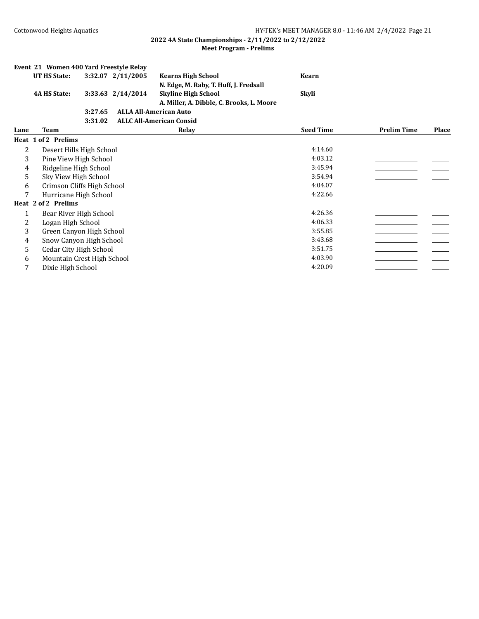|              | Event 21 Women 400 Yard Freestyle Relay |         |                   |                                           |                  |                    |       |
|--------------|-----------------------------------------|---------|-------------------|-------------------------------------------|------------------|--------------------|-------|
|              | UT HS State:                            |         | 3:32.07 2/11/2005 | <b>Kearns High School</b>                 | <b>Kearn</b>     |                    |       |
|              |                                         |         |                   | N. Edge, M. Raby, T. Huff, J. Fredsall    |                  |                    |       |
|              | <b>4A HS State:</b>                     |         | 3:33.63 2/14/2014 | <b>Skyline High School</b>                | Skyli            |                    |       |
|              |                                         |         |                   | A. Miller, A. Dibble, C. Brooks, L. Moore |                  |                    |       |
|              |                                         | 3:27.65 |                   | <b>ALLA All-American Auto</b>             |                  |                    |       |
|              |                                         | 3:31.02 |                   | <b>ALLC All-American Consid</b>           |                  |                    |       |
| Lane         | Team                                    |         |                   | Relay                                     | <b>Seed Time</b> | <b>Prelim Time</b> | Place |
|              | Heat 1 of 2 Prelims                     |         |                   |                                           |                  |                    |       |
| 2            | Desert Hills High School                |         |                   |                                           | 4:14.60          |                    |       |
| 3            | Pine View High School                   |         |                   |                                           | 4:03.12          |                    |       |
| 4            | Ridgeline High School                   |         |                   |                                           | 3:45.94          |                    |       |
| 5            | Sky View High School                    |         |                   |                                           | 3:54.94          |                    |       |
| 6            | Crimson Cliffs High School              |         |                   |                                           | 4:04.07          |                    |       |
| 7            | Hurricane High School                   |         |                   |                                           | 4:22.66          |                    |       |
|              | Heat 2 of 2 Prelims                     |         |                   |                                           |                  |                    |       |
| $\mathbf{1}$ | Bear River High School                  |         |                   |                                           | 4:26.36          |                    |       |
| 2            | Logan High School                       |         |                   |                                           | 4:06.33          |                    |       |
| 3            | Green Canyon High School                |         |                   |                                           | 3:55.85          |                    |       |
| 4            | Snow Canyon High School                 |         |                   |                                           | 3:43.68          |                    |       |
| 5            | Cedar City High School                  |         |                   |                                           | 3:51.75          |                    |       |
| 6            | Mountain Crest High School              |         |                   |                                           | 4:03.90          |                    |       |
| 7            | Dixie High School                       |         |                   |                                           | 4:20.09          |                    |       |